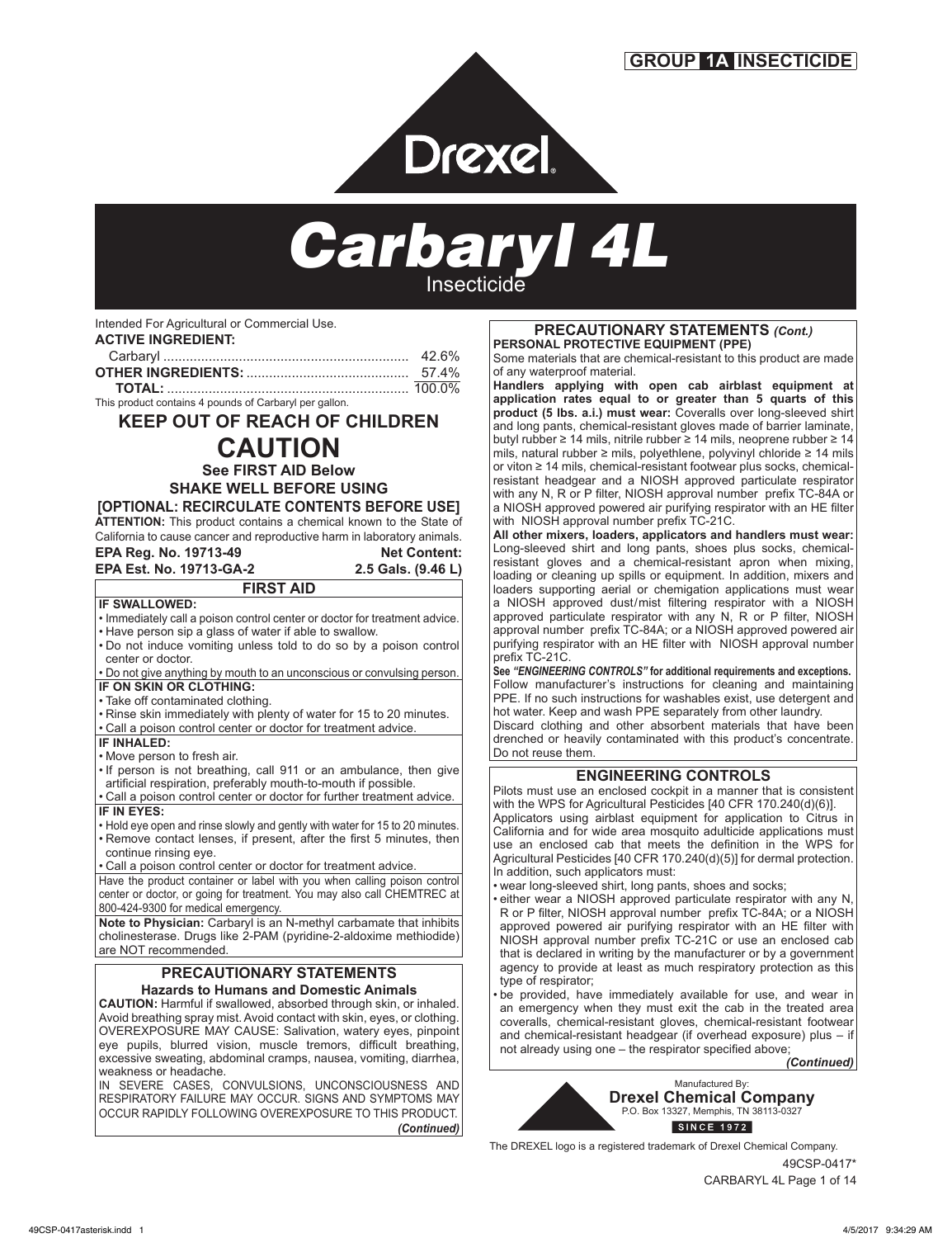

# Drexel.<br>Carbaryl 4L

Intended For Agricultural or Commercial Use. **ACTIVE INGREDIENT:** Carbaryl ................................................................. 42.6% **OTHER INGREDIENTS:** ........................................... 57.4% **TOTAL:** ................................................................ 100.0% This product contains 4 pounds of Carbaryl per gallon. **KEEP OUT OF REACH OF CHILDREN CAUTION See FIRST AID Below SHAKE WELL BEFORE USING [OPTIONAL: RECIRCULATE CONTENTS BEFORE USE] ATTENTION:** This product contains a chemical known to the State of California to cause cancer and reproductive harm in laboratory animals. **EPA Reg. No. 19713-49 Net Content: EPA Est. No. 19713-GA-2 2.5 Gals. (9.46 L) FIRST AID IF SWALLOWED:** • Immediately call a poison control center or doctor for treatment advice. • Have person sip a glass of water if able to swallow. • Do not induce vomiting unless told to do so by a poison control center or doctor. • Do not give anything by mouth to an unconscious or convulsing person. **IF ON SKIN OR CLOTHING:** • Take off contaminated clothing. • Rinse skin immediately with plenty of water for 15 to 20 minutes. • Call a poison control center or doctor for treatment advice. **IF INHALED:** • Move person to fresh air. • If person is not breathing, call 911 or an ambulance, then give artificial respiration, preferably mouth-to-mouth if possible. • Call a poison control center or doctor for further treatment advice. **IF IN EYES:** • Hold eye open and rinse slowly and gently with water for 15 to 20 minutes. • Remove contact lenses, if present, after the first 5 minutes, then continue rinsing eye. • Call a poison control center or doctor for treatment advice. Have the product container or label with you when calling poison control center or doctor, or going for treatment. You may also call CHEMTREC at 800-424-9300 for medical emergency. **Note to Physician:** Carbaryl is an N-methyl carbamate that inhibits cholinesterase. Drugs like 2-PAM (pyridine-2-aldoxime methiodide) are NOT recommended. **PRECAUTIONARY STATEMENTS Hazards to Humans and Domestic Animals CAUTION:** Harmful if swallowed, absorbed through skin, or inhaled. Avoid breathing spray mist. Avoid contact with skin, eyes, or clothing. OVEREXPOSURE MAY CAUSE: Salivation, watery eyes, pinpoint eye pupils, blurred vision, muscle tremors, difficult breathing, excessive sweating, abdominal cramps, nausea, vomiting, diarrhea, weakness or headache. IN SEVERE CASES, CONVULSIONS, UNCONSCIOUSNESS AND RESPIRATORY FAILURE MAY OCCUR. SIGNS AND SYMPTOMS MAY OCCUR RAPIDLY FOLLOWING OVEREXPOSURE TO THIS PRODUCT.

*(Continued)*

#### **PRECAUTIONARY STATEMENTS** *(Cont.)* **PERSONAL PROTECTIVE EQUIPMENT (PPE)**

Some materials that are chemical-resistant to this product are made of any waterproof material.

**Handlers applying with open cab airblast equipment at application rates equal to or greater than 5 quarts of this product (5 lbs. a.i.) must wear:** Coveralls over long-sleeved shirt and long pants, chemical-resistant gloves made of barrier laminate, butyl rubber ≥ 14 mils, nitrile rubber ≥ 14 mils, neoprene rubber ≥ 14 mils, natural rubber ≥ mils, polyethlene, polyvinyl chloride ≥ 14 mils or viton ≥ 14 mils, chemical-resistant footwear plus socks, chemicalresistant headgear and a NIOSH approved particulate respirator with any N, R or P filter, NIOSH approval number prefix TC-84A or a NIOSH approved powered air purifying respirator with an HE filter with NIOSH approval number prefix TC-21C.

**All other mixers, loaders, applicators and handlers must wear:** Long-sleeved shirt and long pants, shoes plus socks, chemicalresistant gloves and a chemical-resistant apron when mixing, loading or cleaning up spills or equipment. In addition, mixers and loaders supporting aerial or chemigation applications must wear a NIOSH approved dust/mist filtering respirator with a NIOSH approved particulate respirator with any N, R or P filter, NIOSH approval number prefix TC-84A; or a NIOSH approved powered air purifying respirator with an HE filter with NIOSH approval number prefix TC-21C.

**See** *"ENGINEERING CONTROLS"* **for additional requirements and exceptions.** Follow manufacturer's instructions for cleaning and maintaining PPE. If no such instructions for washables exist, use detergent and hot water. Keep and wash PPE separately from other laundry.

Discard clothing and other absorbent materials that have been drenched or heavily contaminated with this product's concentrate. Do not reuse them.

# **ENGINEERING CONTROLS**

Pilots must use an enclosed cockpit in a manner that is consistent with the WPS for Agricultural Pesticides [40 CFR 170.240(d)(6)].

Applicators using airblast equipment for application to Citrus in California and for wide area mosquito adulticide applications must use an enclosed cab that meets the definition in the WPS for Agricultural Pesticides [40 CFR 170.240(d)(5)] for dermal protection. In addition, such applicators must:

- wear long-sleeved shirt, long pants, shoes and socks;
- either wear a NIOSH approved particulate respirator with any N, R or P filter, NIOSH approval number prefix TC-84A; or a NIOSH approved powered air purifying respirator with an HE filter with NIOSH approval number prefix TC-21C or use an enclosed cab that is declared in writing by the manufacturer or by a government agency to provide at least as much respiratory protection as this type of respirator;

• be provided, have immediately available for use, and wear in an emergency when they must exit the cab in the treated area coveralls, chemical-resistant gloves, chemical-resistant footwear and chemical-resistant headgear (if overhead exposure) plus – if not already using one – the respirator specified above;

*(Continued)*

Manufactured By: **Drexel Chemical Company** P.O. Box 13327, Memphis, TN 38113-0327 **SINCE 1972** 

The DREXEL logo is a registered trademark of Drexel Chemical Company.

CARBARYL 4L Page 1 of 14 49CSP-0417\*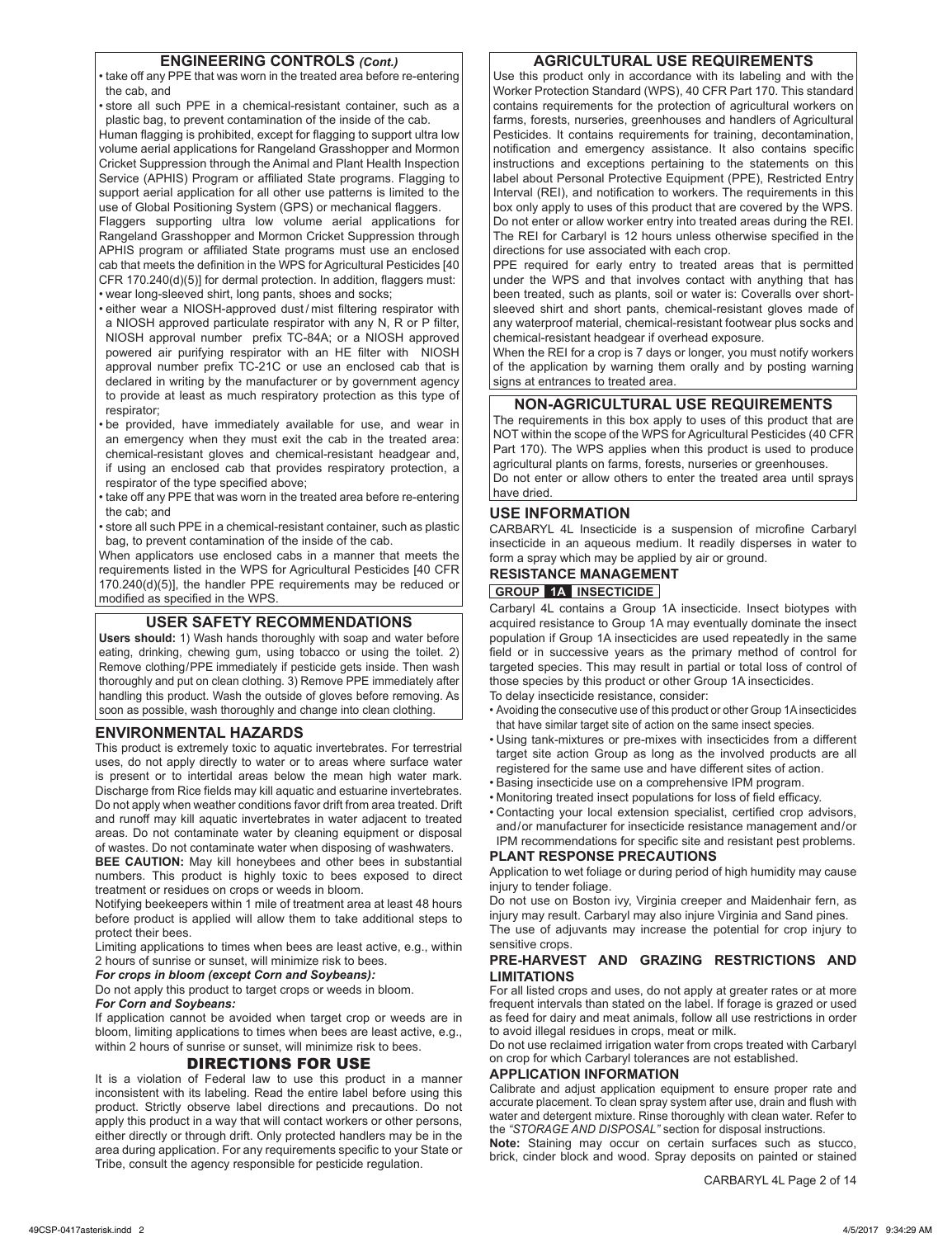## **ENGINEERING CONTROLS** *(Cont.)*

take off any PPE that was worn in the treated area before re-entering the cab, and

• store all such PPE in a chemical-resistant container, such as a plastic bag, to prevent contamination of the inside of the cab.

Human flagging is prohibited, except for flagging to support ultra low volume aerial applications for Rangeland Grasshopper and Mormon Cricket Suppression through the Animal and Plant Health Inspection Service (APHIS) Program or affiliated State programs. Flagging to support aerial application for all other use patterns is limited to the use of Global Positioning System (GPS) or mechanical flaggers.

Flaggers supporting ultra low volume aerial applications for Rangeland Grasshopper and Mormon Cricket Suppression through APHIS program or affiliated State programs must use an enclosed cab that meets the definition in the WPS for Agricultural Pesticides [40 CFR 170.240(d)(5)] for dermal protection. In addition, flaggers must: • wear long-sleeved shirt, long pants, shoes and socks;

either wear a NIOSH-approved dust/mist filtering respirator with a NIOSH approved particulate respirator with any N, R or P filter, NIOSH approval number prefix TC-84A; or a NIOSH approved powered air purifying respirator with an HE filter with NIOSH approval number prefix TC-21C or use an enclosed cab that is declared in writing by the manufacturer or by government agency to provide at least as much respiratory protection as this type of respirator;

be provided, have immediately available for use, and wear in an emergency when they must exit the cab in the treated area: chemical-resistant gloves and chemical-resistant headgear and, if using an enclosed cab that provides respiratory protection, a respirator of the type specified above;

• take off any PPE that was worn in the treated area before re-entering the cab; and

• store all such PPE in a chemical-resistant container, such as plastic bag, to prevent contamination of the inside of the cab.

When applicators use enclosed cabs in a manner that meets the requirements listed in the WPS for Agricultural Pesticides [40 CFR 170.240(d)(5)], the handler PPE requirements may be reduced or modified as specified in the WPS.

# **USER SAFETY RECOMMENDATIONS**

**Users should:** 1) Wash hands thoroughly with soap and water before eating, drinking, chewing gum, using tobacco or using the toilet. 2) Remove clothing / PPE immediately if pesticide gets inside. Then wash thoroughly and put on clean clothing. 3) Remove PPE immediately after handling this product. Wash the outside of gloves before removing. As soon as possible, wash thoroughly and change into clean clothing.

## **ENVIRONMENTAL HAZARDS**

This product is extremely toxic to aquatic invertebrates. For terrestrial uses, do not apply directly to water or to areas where surface water is present or to intertidal areas below the mean high water mark. Discharge from Rice fields may kill aquatic and estuarine invertebrates. Do not apply when weather conditions favor drift from area treated. Drift and runoff may kill aquatic invertebrates in water adjacent to treated areas. Do not contaminate water by cleaning equipment or disposal of wastes. Do not contaminate water when disposing of washwaters.

**BEE CAUTION:** May kill honeybees and other bees in substantial numbers. This product is highly toxic to bees exposed to direct treatment or residues on crops or weeds in bloom.

Notifying beekeepers within 1 mile of treatment area at least 48 hours before product is applied will allow them to take additional steps to protect their bees.

Limiting applications to times when bees are least active, e.g., within 2 hours of sunrise or sunset, will minimize risk to bees.

*For crops in bloom (except Corn and Soybeans):*

Do not apply this product to target crops or weeds in bloom.

#### *For Corn and Soybeans:*

If application cannot be avoided when target crop or weeds are in bloom, limiting applications to times when bees are least active, e.g., within 2 hours of sunrise or sunset, will minimize risk to bees.

## DIRECTIONS FOR USE

It is a violation of Federal law to use this product in a manner inconsistent with its labeling. Read the entire label before using this product. Strictly observe label directions and precautions. Do not apply this product in a way that will contact workers or other persons, either directly or through drift. Only protected handlers may be in the area during application. For any requirements specific to your State or Tribe, consult the agency responsible for pesticide regulation.

#### **AGRICULTURAL USE REQUIREMENTS**

Use this product only in accordance with its labeling and with the Worker Protection Standard (WPS), 40 CFR Part 170. This standard contains requirements for the protection of agricultural workers on farms, forests, nurseries, greenhouses and handlers of Agricultural Pesticides. It contains requirements for training, decontamination, notification and emergency assistance. It also contains specific instructions and exceptions pertaining to the statements on this label about Personal Protective Equipment (PPE), Restricted Entry Interval (REI), and notification to workers. The requirements in this box only apply to uses of this product that are covered by the WPS. Do not enter or allow worker entry into treated areas during the REI. The REI for Carbaryl is 12 hours unless otherwise specified in the directions for use associated with each crop.

PPE required for early entry to treated areas that is permitted under the WPS and that involves contact with anything that has been treated, such as plants, soil or water is: Coveralls over shortsleeved shirt and short pants, chemical-resistant gloves made of any waterproof material, chemical-resistant footwear plus socks and chemical-resistant headgear if overhead exposure.

When the REI for a crop is 7 days or longer, you must notify workers of the application by warning them orally and by posting warning signs at entrances to treated area.

# **NON-AGRICULTURAL USE REQUIREMENTS**

The requirements in this box apply to uses of this product that are NOT within the scope of the WPS for Agricultural Pesticides (40 CFR Part 170). The WPS applies when this product is used to produce agricultural plants on farms, forests, nurseries or greenhouses. Do not enter or allow others to enter the treated area until sprays have dried.

## **USE INFORMATION**

CARBARYL 4L Insecticide is a suspension of microfine Carbaryl insecticide in an aqueous medium. It readily disperses in water to form a spray which may be applied by air or ground.

## **RESISTANCE MANAGEMENT**

#### **GROUP 1A INSECTICIDE**

Carbaryl 4L contains a Group 1A insecticide. Insect biotypes with acquired resistance to Group 1A may eventually dominate the insect population if Group 1A insecticides are used repeatedly in the same field or in successive years as the primary method of control for targeted species. This may result in partial or total loss of control of those species by this product or other Group 1A insecticides. To delay insecticide resistance, consider:

• Avoiding the consecutive use of this product or other Group 1A insecticides that have similar target site of action on the same insect species.

- Using tank-mixtures or pre-mixes with insecticides from a different target site action Group as long as the involved products are all registered for the same use and have different sites of action.
- Basing insecticide use on a comprehensive IPM program.
- Monitoring treated insect populations for loss of field efficacy.
- Contacting your local extension specialist, certified crop advisors, and/or manufacturer for insecticide resistance management and/or IPM recommendations for specific site and resistant pest problems.

# **PLANT RESPONSE PRECAUTIONS**

Application to wet foliage or during period of high humidity may cause injury to tender foliage.

Do not use on Boston ivy, Virginia creeper and Maidenhair fern, as injury may result. Carbaryl may also injure Virginia and Sand pines.

The use of adjuvants may increase the potential for crop injury to sensitive crops.

#### **PRE-HARVEST AND GRAZING RESTRICTIONS AND LIMITATIONS**

For all listed crops and uses, do not apply at greater rates or at more frequent intervals than stated on the label. If forage is grazed or used as feed for dairy and meat animals, follow all use restrictions in order to avoid illegal residues in crops, meat or milk.

Do not use reclaimed irrigation water from crops treated with Carbaryl on crop for which Carbaryl tolerances are not established.

## **APPLICATION INFORMATION**

Calibrate and adjust application equipment to ensure proper rate and accurate placement. To clean spray system after use, drain and flush with water and detergent mixture. Rinse thoroughly with clean water. Refer to the *"STORAGE AND DISPOSAL"* section for disposal instructions.

**Note:** Staining may occur on certain surfaces such as stucco, brick, cinder block and wood. Spray deposits on painted or stained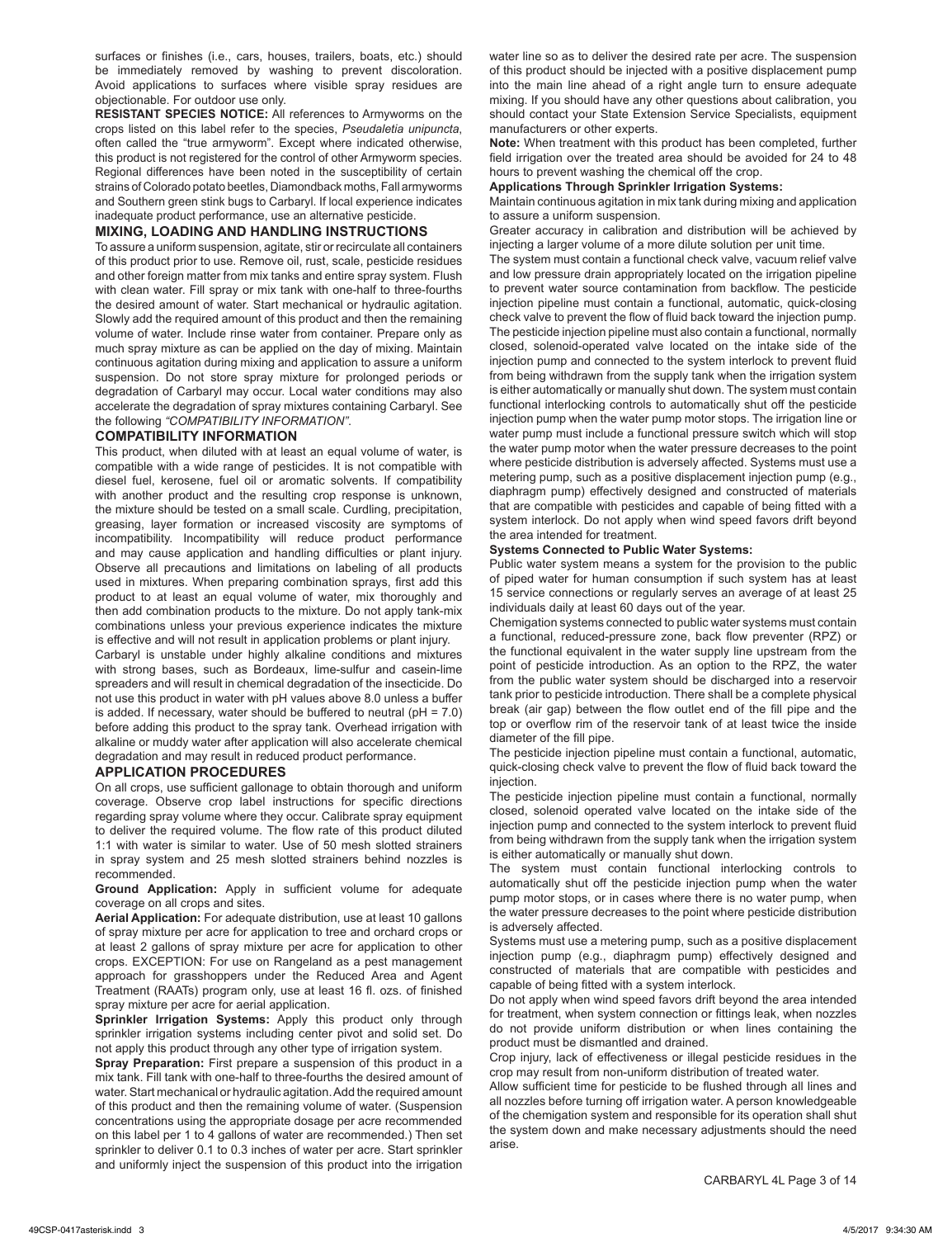surfaces or finishes (i.e., cars, houses, trailers, boats, etc.) should be immediately removed by washing to prevent discoloration. Avoid applications to surfaces where visible spray residues are objectionable. For outdoor use only.

**RESISTANT SPECIES NOTICE:** All references to Armyworms on the crops listed on this label refer to the species, *Pseudaletia unipuncta*, often called the "true armyworm". Except where indicated otherwise, this product is not registered for the control of other Armyworm species. Regional differences have been noted in the susceptibility of certain strains of Colorado potato beetles, Diamondback moths, Fall armyworms and Southern green stink bugs to Carbaryl. If local experience indicates inadequate product performance, use an alternative pesticide.

#### **MIXING, LOADING AND HANDLING INSTRUCTIONS**

To assure a uniform suspension, agitate, stir or recirculate all containers of this product prior to use. Remove oil, rust, scale, pesticide residues and other foreign matter from mix tanks and entire spray system. Flush with clean water. Fill spray or mix tank with one-half to three-fourths the desired amount of water. Start mechanical or hydraulic agitation. Slowly add the required amount of this product and then the remaining volume of water. Include rinse water from container. Prepare only as much spray mixture as can be applied on the day of mixing. Maintain continuous agitation during mixing and application to assure a uniform suspension. Do not store spray mixture for prolonged periods or degradation of Carbaryl may occur. Local water conditions may also accelerate the degradation of spray mixtures containing Carbaryl. See the following *"COMPATIBILITY INFORMATION"*.

#### **COMPATIBILITY INFORMATION**

This product, when diluted with at least an equal volume of water, is compatible with a wide range of pesticides. It is not compatible with diesel fuel, kerosene, fuel oil or aromatic solvents. If compatibility with another product and the resulting crop response is unknown, the mixture should be tested on a small scale. Curdling, precipitation, greasing, layer formation or increased viscosity are symptoms of incompatibility. Incompatibility will reduce product performance and may cause application and handling difficulties or plant injury. Observe all precautions and limitations on labeling of all products used in mixtures. When preparing combination sprays, first add this product to at least an equal volume of water, mix thoroughly and then add combination products to the mixture. Do not apply tank-mix combinations unless your previous experience indicates the mixture is effective and will not result in application problems or plant injury.

Carbaryl is unstable under highly alkaline conditions and mixtures with strong bases, such as Bordeaux, lime-sulfur and casein-lime spreaders and will result in chemical degradation of the insecticide. Do not use this product in water with pH values above 8.0 unless a buffer is added. If necessary, water should be buffered to neutral  $(PH = 7.0)$ before adding this product to the spray tank. Overhead irrigation with alkaline or muddy water after application will also accelerate chemical degradation and may result in reduced product performance.

#### **APPLICATION PROCEDURES**

On all crops, use sufficient gallonage to obtain thorough and uniform coverage. Observe crop label instructions for specific directions regarding spray volume where they occur. Calibrate spray equipment to deliver the required volume. The flow rate of this product diluted 1:1 with water is similar to water. Use of 50 mesh slotted strainers in spray system and 25 mesh slotted strainers behind nozzles is recommended.

**Ground Application:** Apply in sufficient volume for adequate coverage on all crops and sites.

**Aerial Application:** For adequate distribution, use at least 10 gallons of spray mixture per acre for application to tree and orchard crops or at least 2 gallons of spray mixture per acre for application to other crops. EXCEPTION: For use on Rangeland as a pest management approach for grasshoppers under the Reduced Area and Agent Treatment (RAATs) program only, use at least 16 fl. ozs. of finished spray mixture per acre for aerial application.

**Sprinkler Irrigation Systems:** Apply this product only through sprinkler irrigation systems including center pivot and solid set. Do not apply this product through any other type of irrigation system.

**Spray Preparation:** First prepare a suspension of this product in a mix tank. Fill tank with one-half to three-fourths the desired amount of water. Start mechanical or hydraulic agitation. Add the required amount of this product and then the remaining volume of water. (Suspension concentrations using the appropriate dosage per acre recommended on this label per 1 to 4 gallons of water are recommended.) Then set sprinkler to deliver 0.1 to 0.3 inches of water per acre. Start sprinkler and uniformly inject the suspension of this product into the irrigation

water line so as to deliver the desired rate per acre. The suspension of this product should be injected with a positive displacement pump into the main line ahead of a right angle turn to ensure adequate mixing. If you should have any other questions about calibration, you should contact your State Extension Service Specialists, equipment manufacturers or other experts.

**Note:** When treatment with this product has been completed, further field irrigation over the treated area should be avoided for 24 to 48 hours to prevent washing the chemical off the crop.

#### **Applications Through Sprinkler Irrigation Systems:**

Maintain continuous agitation in mix tank during mixing and application to assure a uniform suspension.

Greater accuracy in calibration and distribution will be achieved by injecting a larger volume of a more dilute solution per unit time.

The system must contain a functional check valve, vacuum relief valve and low pressure drain appropriately located on the irrigation pipeline to prevent water source contamination from backflow. The pesticide injection pipeline must contain a functional, automatic, quick-closing check valve to prevent the flow of fluid back toward the injection pump. The pesticide injection pipeline must also contain a functional, normally closed, solenoid-operated valve located on the intake side of the injection pump and connected to the system interlock to prevent fluid from being withdrawn from the supply tank when the irrigation system is either automatically or manually shut down. The system must contain functional interlocking controls to automatically shut off the pesticide injection pump when the water pump motor stops. The irrigation line or water pump must include a functional pressure switch which will stop the water pump motor when the water pressure decreases to the point where pesticide distribution is adversely affected. Systems must use a metering pump, such as a positive displacement injection pump (e.g., diaphragm pump) effectively designed and constructed of materials that are compatible with pesticides and capable of being fitted with a system interlock. Do not apply when wind speed favors drift beyond the area intended for treatment.

#### **Systems Connected to Public Water Systems:**

Public water system means a system for the provision to the public of piped water for human consumption if such system has at least 15 service connections or regularly serves an average of at least 25 individuals daily at least 60 days out of the year.

Chemigation systems connected to public water systems must contain a functional, reduced-pressure zone, back flow preventer (RPZ) or the functional equivalent in the water supply line upstream from the point of pesticide introduction. As an option to the RPZ, the water from the public water system should be discharged into a reservoir tank prior to pesticide introduction. There shall be a complete physical break (air gap) between the flow outlet end of the fill pipe and the top or overflow rim of the reservoir tank of at least twice the inside diameter of the fill pipe.

The pesticide injection pipeline must contain a functional, automatic, quick-closing check valve to prevent the flow of fluid back toward the injection.

The pesticide injection pipeline must contain a functional, normally closed, solenoid operated valve located on the intake side of the injection pump and connected to the system interlock to prevent fluid from being withdrawn from the supply tank when the irrigation system is either automatically or manually shut down.

The system must contain functional interlocking controls to automatically shut off the pesticide injection pump when the water pump motor stops, or in cases where there is no water pump, when the water pressure decreases to the point where pesticide distribution is adversely affected.

Systems must use a metering pump, such as a positive displacement injection pump (e.g., diaphragm pump) effectively designed and constructed of materials that are compatible with pesticides and capable of being fitted with a system interlock.

Do not apply when wind speed favors drift beyond the area intended for treatment, when system connection or fittings leak, when nozzles do not provide uniform distribution or when lines containing the product must be dismantled and drained.

Crop injury, lack of effectiveness or illegal pesticide residues in the crop may result from non-uniform distribution of treated water.

Allow sufficient time for pesticide to be flushed through all lines and all nozzles before turning off irrigation water. A person knowledgeable of the chemigation system and responsible for its operation shall shut the system down and make necessary adjustments should the need arise.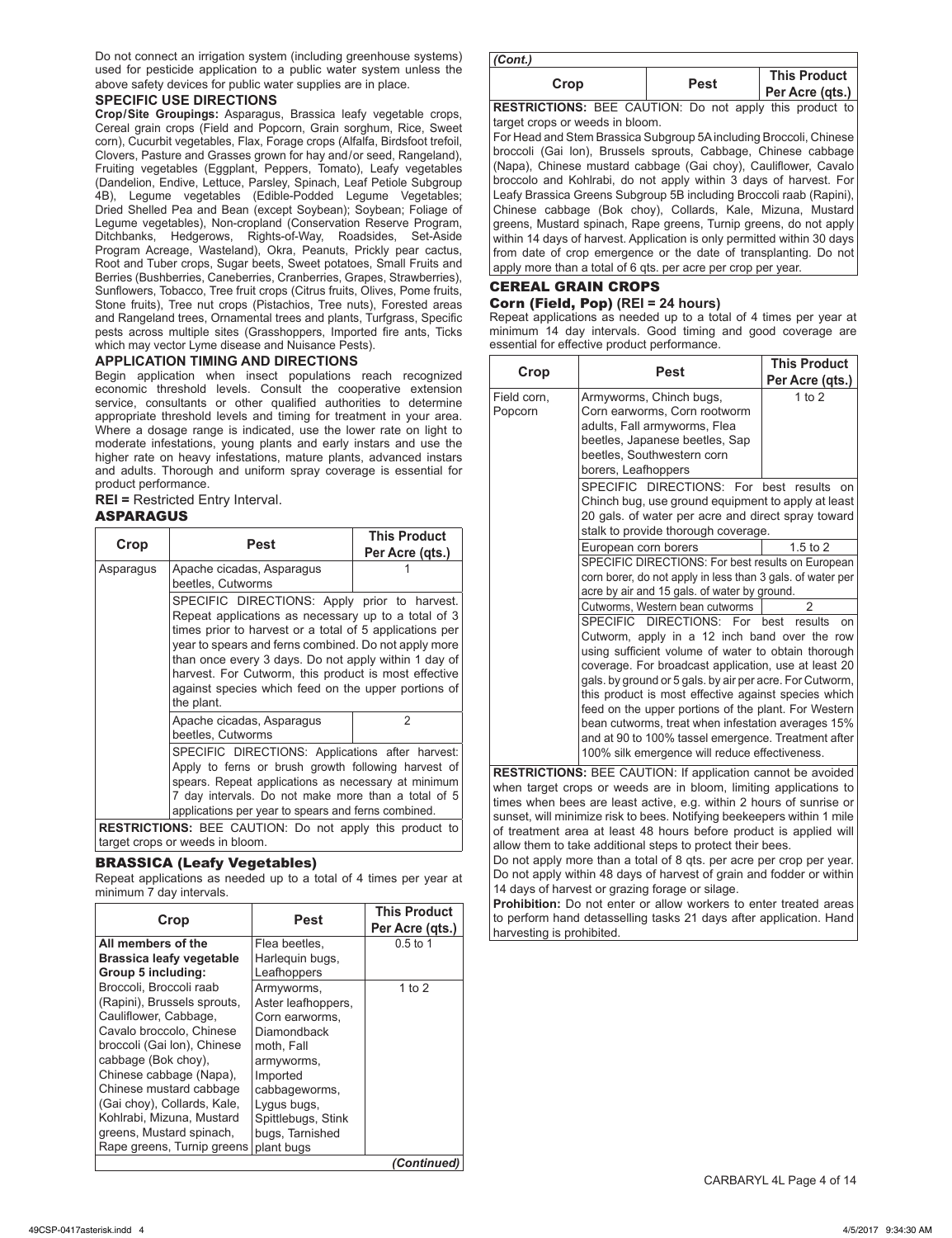Do not connect an irrigation system (including greenhouse systems) used for pesticide application to a public water system unless the above safety devices for public water supplies are in place.

#### **SPECIFIC USE DIRECTIONS**

**Crop / Site Groupings:** Asparagus, Brassica leafy vegetable crops, Cereal grain crops (Field and Popcorn, Grain sorghum, Rice, Sweet corn), Cucurbit vegetables, Flax, Forage crops (Alfalfa, Birdsfoot trefoil, Clovers, Pasture and Grasses grown for hay and / or seed, Rangeland), Fruiting vegetables (Eggplant, Peppers, Tomato), Leafy vegetables (Dandelion, Endive, Lettuce, Parsley, Spinach, Leaf Petiole Subgroup 4B), Legume vegetables (Edible-Podded Legume Vegetables; Dried Shelled Pea and Bean (except Soybean); Soybean; Foliage of Legume vegetables), Non-cropland (Conservation Reserve Program, Ditchbanks, Hedgerows, Rights-of-Way, Roadsides, Set-Aside Program Acreage, Wasteland), Okra, Peanuts, Prickly pear cactus, Root and Tuber crops, Sugar beets, Sweet potatoes, Small Fruits and Berries (Bushberries, Caneberries, Cranberries, Grapes, Strawberries), Sunflowers, Tobacco, Tree fruit crops (Citrus fruits, Olives, Pome fruits, Stone fruits), Tree nut crops (Pistachios, Tree nuts), Forested areas and Rangeland trees, Ornamental trees and plants, Turfgrass, Specific pests across multiple sites (Grasshoppers, Imported fire ants, Ticks which may vector Lyme disease and Nuisance Pests).

#### **APPLICATION TIMING AND DIRECTIONS**

Begin application when insect populations reach recognized economic threshold levels. Consult the cooperative extension service, consultants or other qualified authorities to determine appropriate threshold levels and timing for treatment in your area. Where a dosage range is indicated, use the lower rate on light to moderate infestations, young plants and early instars and use the higher rate on heavy infestations, mature plants, advanced instars and adults. Thorough and uniform spray coverage is essential for product performance.

**REI =** Restricted Entry Interval.

#### ASPARAGUS

| Crop                                                                                                                                                                                                                                                                         | Pest                                                                                                                                                                                                                                                                                                                                                                                                        | <b>This Product</b><br>Per Acre (qts.) |  |
|------------------------------------------------------------------------------------------------------------------------------------------------------------------------------------------------------------------------------------------------------------------------------|-------------------------------------------------------------------------------------------------------------------------------------------------------------------------------------------------------------------------------------------------------------------------------------------------------------------------------------------------------------------------------------------------------------|----------------------------------------|--|
| Asparagus                                                                                                                                                                                                                                                                    | Apache cicadas, Asparagus<br>beetles, Cutworms                                                                                                                                                                                                                                                                                                                                                              |                                        |  |
|                                                                                                                                                                                                                                                                              | SPECIFIC DIRECTIONS: Apply prior to harvest.<br>Repeat applications as necessary up to a total of 3<br>times prior to harvest or a total of 5 applications per<br>year to spears and ferns combined. Do not apply more<br>than once every 3 days. Do not apply within 1 day of<br>harvest. For Cutworm, this product is most effective<br>against species which feed on the upper portions of<br>the plant. |                                        |  |
|                                                                                                                                                                                                                                                                              | 2<br>Apache cicadas, Asparagus<br>beetles. Cutworms                                                                                                                                                                                                                                                                                                                                                         |                                        |  |
| SPECIFIC DIRECTIONS: Applications after harvest:<br>Apply to ferns or brush growth following harvest of<br>spears. Repeat applications as necessary at minimum<br>7 day intervals. Do not make more than a total of 5<br>applications per year to spears and ferns combined. |                                                                                                                                                                                                                                                                                                                                                                                                             |                                        |  |
| RESTRICTIONS: BEE CAUTION: Do not apply this product to<br>target crops or weeds in bloom.                                                                                                                                                                                   |                                                                                                                                                                                                                                                                                                                                                                                                             |                                        |  |

# BRASSICA (Leafy Vegetables)

Repeat applications as needed up to a total of 4 times per year at minimum 7 day intervals.

| Crop                            | Pest               | <b>This Product</b><br>Per Acre (qts.) |
|---------------------------------|--------------------|----------------------------------------|
| All members of the              | Flea beetles.      | $0.5$ to 1                             |
| <b>Brassica leafy vegetable</b> | Harleguin bugs,    |                                        |
| Group 5 including:              | Leafhoppers        |                                        |
| Broccoli, Broccoli raab         | Armyworms,         | 1 to $2$                               |
| (Rapini), Brussels sprouts,     | Aster leafhoppers, |                                        |
| Cauliflower, Cabbage,           | Corn earworms.     |                                        |
| Cavalo broccolo. Chinese        | Diamondback        |                                        |
| broccoli (Gai Ion), Chinese     | moth. Fall         |                                        |
| cabbage (Bok choy),             | armyworms,         |                                        |
| Chinese cabbage (Napa).         | Imported           |                                        |
| Chinese mustard cabbage         | cabbageworms,      |                                        |
| (Gai choy), Collards, Kale,     | Lygus bugs,        |                                        |
| Kohlrabi, Mizuna, Mustard       | Spittlebugs, Stink |                                        |
| greens, Mustard spinach,        | bugs, Tarnished    |                                        |
| Rape greens, Turnip greens      | plant bugs         |                                        |
|                                 |                    | (Continued)                            |

| (Cont.) |              |                     |
|---------|--------------|---------------------|
|         |              | <b>This Product</b> |
|         | Pest<br>Crop | Per Acre (qts.)     |

**RESTRICTIONS:** BEE CAUTION: Do not apply this product to target crops or weeds in bloom.

For Head and Stem Brassica Subgroup 5A including Broccoli, Chinese broccoli (Gai lon), Brussels sprouts, Cabbage, Chinese cabbage (Napa), Chinese mustard cabbage (Gai choy), Cauliflower, Cavalo broccolo and Kohlrabi, do not apply within 3 days of harvest. For Leafy Brassica Greens Subgroup 5B including Broccoli raab (Rapini), Chinese cabbage (Bok choy), Collards, Kale, Mizuna, Mustard greens, Mustard spinach, Rape greens, Turnip greens, do not apply within 14 days of harvest. Application is only permitted within 30 days from date of crop emergence or the date of transplanting. Do not apply more than a total of 6 qts. per acre per crop per year.

# CEREAL GRAIN CROPS

#### Corn (Field, Pop) **(REI = 24 hours)**

Repeat applications as needed up to a total of 4 times per year at minimum 14 day intervals. Good timing and good coverage are essential for effective product performance.

| Crop                   | Pest                                                                                                                                                                                                                                                                                                                                                                                                                                                                                                                                | <b>This Product</b>   |
|------------------------|-------------------------------------------------------------------------------------------------------------------------------------------------------------------------------------------------------------------------------------------------------------------------------------------------------------------------------------------------------------------------------------------------------------------------------------------------------------------------------------------------------------------------------------|-----------------------|
|                        |                                                                                                                                                                                                                                                                                                                                                                                                                                                                                                                                     | Per Acre (qts.)       |
| Field corn,<br>Popcorn | Armyworms, Chinch bugs,<br>Corn earworms, Corn rootworm<br>adults, Fall armyworms, Flea<br>beetles, Japanese beetles, Sap<br>beetles, Southwestern corn<br>borers, Leafhoppers                                                                                                                                                                                                                                                                                                                                                      | 1 to $2$              |
|                        | SPECIFIC DIRECTIONS: For best results<br>Chinch bug, use ground equipment to apply at least<br>20 gals. of water per acre and direct spray toward<br>stalk to provide thorough coverage.                                                                                                                                                                                                                                                                                                                                            | on                    |
|                        | European corn borers                                                                                                                                                                                                                                                                                                                                                                                                                                                                                                                | $1.5$ to $2$          |
|                        | SPECIFIC DIRECTIONS: For best results on European<br>corn borer, do not apply in less than 3 gals, of water per<br>acre by air and 15 gals. of water by ground.                                                                                                                                                                                                                                                                                                                                                                     |                       |
|                        | Cutworms, Western bean cutworms                                                                                                                                                                                                                                                                                                                                                                                                                                                                                                     | 2                     |
|                        | SPECIFIC DIRECTIONS: For<br>Cutworm, apply in a 12 inch band over the row<br>using sufficient volume of water to obtain thorough<br>coverage. For broadcast application, use at least 20<br>gals, by ground or 5 gals, by air per acre. For Cutworm,<br>this product is most effective against species which<br>feed on the upper portions of the plant. For Western<br>bean cutworms, treat when infestation averages 15%<br>and at 90 to 100% tassel emergence. Treatment after<br>100% silk emergence will reduce effectiveness. | hest<br>results<br>0n |
|                        |                                                                                                                                                                                                                                                                                                                                                                                                                                                                                                                                     |                       |

**RESTRICTIONS:** BEE CAUTION: If application cannot be avoided when target crops or weeds are in bloom, limiting applications to times when bees are least active, e.g. within 2 hours of sunrise or sunset, will minimize risk to bees. Notifying beekeepers within 1 mile of treatment area at least 48 hours before product is applied will allow them to take additional steps to protect their bees.

Do not apply more than a total of 8 qts. per acre per crop per year. Do not apply within 48 days of harvest of grain and fodder or within 14 days of harvest or grazing forage or silage.

**Prohibition:** Do not enter or allow workers to enter treated areas to perform hand detasselling tasks 21 days after application. Hand harvesting is prohibited.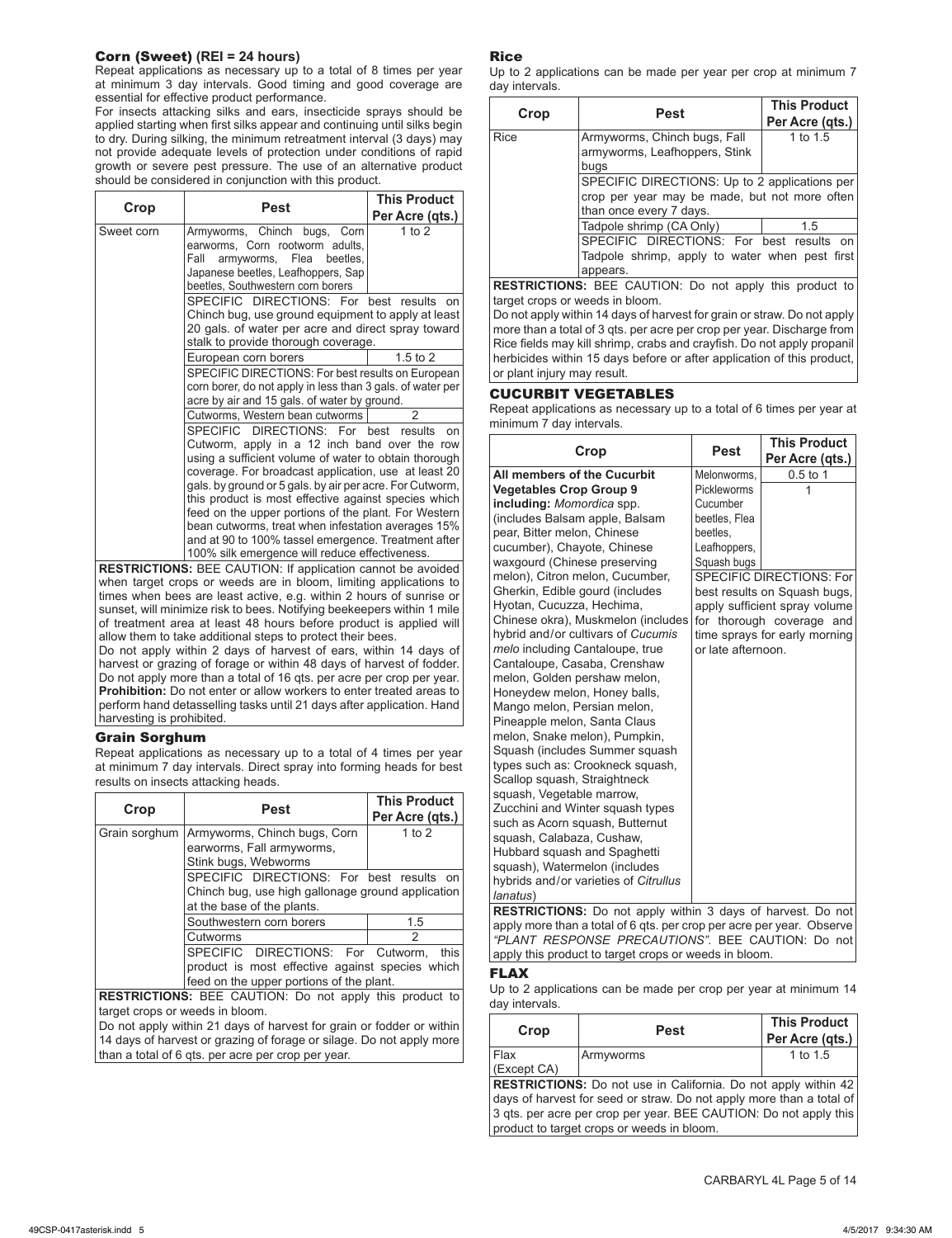# Corn (Sweet) **(REI = 24 hours)**

Repeat applications as necessary up to a total of 8 times per year at minimum 3 day intervals. Good timing and good coverage are essential for effective product performance.

For insects attacking silks and ears, insecticide sprays should be applied starting when first silks appear and continuing until silks begin to dry. During silking, the minimum retreatment interval (3 days) may not provide adequate levels of protection under conditions of rapid growth or severe pest pressure. The use of an alternative product should be considered in conjunction with this product.

| Crop       | Pest                                                                                                                                                                                                                                                                                                                                                                                                                                                                                                                                       | <b>This Product</b><br>Per Acre (qts.) |
|------------|--------------------------------------------------------------------------------------------------------------------------------------------------------------------------------------------------------------------------------------------------------------------------------------------------------------------------------------------------------------------------------------------------------------------------------------------------------------------------------------------------------------------------------------------|----------------------------------------|
| Sweet corn | Armyworms, Chinch bugs, Corn<br>earworms, Corn rootworm adults,<br>armyworms, Flea<br>Fall<br>beetles.<br>Japanese beetles, Leafhoppers, Sap<br>beetles, Southwestern corn borers                                                                                                                                                                                                                                                                                                                                                          | 1 to $2$                               |
|            | SPECIFIC DIRECTIONS: For best results<br>Chinch bug, use ground equipment to apply at least<br>20 gals, of water per acre and direct spray toward<br>stalk to provide thorough coverage.                                                                                                                                                                                                                                                                                                                                                   | on                                     |
|            | European corn borers                                                                                                                                                                                                                                                                                                                                                                                                                                                                                                                       | $1.5$ to $2$                           |
|            | SPECIFIC DIRECTIONS: For best results on European<br>corn borer, do not apply in less than 3 gals, of water per<br>acre by air and 15 gals. of water by ground.                                                                                                                                                                                                                                                                                                                                                                            |                                        |
|            | Cutworms, Western bean cutworms                                                                                                                                                                                                                                                                                                                                                                                                                                                                                                            | 2                                      |
|            | SPECIFIC DIRECTIONS: For best<br>Cutworm, apply in a 12 inch band over the row<br>using a sufficient volume of water to obtain thorough<br>coverage. For broadcast application, use at least 20<br>gals, by ground or 5 gals, by air per acre. For Cutworm,<br>this product is most effective against species which<br>feed on the upper portions of the plant. For Western<br>bean cutworms, treat when infestation averages 15%<br>and at 90 to 100% tassel emergence. Treatment after<br>100% silk emergence will reduce effectiveness. | results<br>on                          |

**RESTRICTIONS:** BEE CAUTION: If application cannot be avoided when target crops or weeds are in bloom, limiting applications to times when bees are least active, e.g. within 2 hours of sunrise or sunset, will minimize risk to bees. Notifying beekeepers within 1 mile of treatment area at least 48 hours before product is applied will allow them to take additional steps to protect their bees.

Do not apply within 2 days of harvest of ears, within 14 days of harvest or grazing of forage or within 48 days of harvest of fodder. Do not apply more than a total of 16 qts. per acre per crop per year. **Prohibition:** Do not enter or allow workers to enter treated areas to perform hand detasselling tasks until 21 days after application. Hand harvesting is prohibited.

## Grain Sorghum

Repeat applications as necessary up to a total of 4 times per year at minimum 7 day intervals. Direct spray into forming heads for best results on insects attacking heads.

| Crop                                                           | Pest                                              | <b>This Product</b><br>Per Acre (qts.) |
|----------------------------------------------------------------|---------------------------------------------------|----------------------------------------|
| Grain sorghum                                                  | Armyworms, Chinch bugs, Corn                      | 1 to $2$                               |
|                                                                | earworms, Fall armyworms,                         |                                        |
|                                                                | Stink bugs, Webworms                              |                                        |
|                                                                | SPECIFIC DIRECTIONS: For best results on          |                                        |
|                                                                | Chinch bug, use high gallonage ground application |                                        |
|                                                                | at the base of the plants.                        |                                        |
|                                                                | Southwestern corn borers                          | 1.5                                    |
|                                                                | Cutworms                                          | 2                                      |
|                                                                | SPECIFIC DIRECTIONS: For Cutworm.                 | this                                   |
|                                                                | product is most effective against species which   |                                        |
|                                                                | feed on the upper portions of the plant.          |                                        |
| <b>RESTRICTIONS:</b> BEE CAUTION: Do not apply this product to |                                                   |                                        |

target crops or weeds in bloom.

Do not apply within 21 days of harvest for grain or fodder or within 14 days of harvest or grazing of forage or silage. Do not apply more than a total of 6 qts. per acre per crop per year.

## Rice

Up to 2 applications can be made per year per crop at minimum 7 day intervals.

| Crop | <b>Pest</b>                                                                                                               | <b>This Product</b><br>Per Acre (qts.) |
|------|---------------------------------------------------------------------------------------------------------------------------|----------------------------------------|
| Rice | Armyworms, Chinch bugs, Fall<br>armyworms, Leafhoppers, Stink<br>bugs                                                     | 1 to $1.5$                             |
|      | SPECIFIC DIRECTIONS: Up to 2 applications per<br>crop per year may be made, but not more often<br>than once every 7 days. |                                        |
|      | Tadpole shrimp (CA Only)                                                                                                  | 1.5                                    |
|      | SPECIFIC DIRECTIONS: For best results on<br>Tadpole shrimp, apply to water when pest first<br>appears.                    |                                        |
|      | <b>RESTRICTIONS:</b> BEE CAUTION: Do not apply this product to                                                            |                                        |

target crops or weeds in bloom. Do not apply within 14 days of harvest for grain or straw. Do not apply more than a total of 3 qts. per acre per crop per year. Discharge from Rice fields may kill shrimp, crabs and crayfish. Do not apply propanil

## or plant injury may result. CUCURBIT VEGETABLES

Repeat applications as necessary up to a total of 6 times per year at minimum 7 day intervals.

herbicides within 15 days before or after application of this product,

| Crop                                  | <b>Pest</b>        | This Product                    |
|---------------------------------------|--------------------|---------------------------------|
|                                       |                    | Per Acre (qts.)                 |
| All members of the Cucurbit           | Melonworms.        | $0.5$ to 1                      |
| <b>Vegetables Crop Group 9</b>        | <b>Pickleworms</b> |                                 |
| including: Momordica spp.             | Cucumber           |                                 |
| (includes Balsam apple, Balsam        | beetles, Flea      |                                 |
| pear, Bitter melon, Chinese           | beetles.           |                                 |
| cucumber), Chayote, Chinese           | Leafhoppers,       |                                 |
| waxgourd (Chinese preserving          | Squash bugs        |                                 |
| melon), Citron melon, Cucumber,       |                    | <b>SPECIFIC DIRECTIONS: For</b> |
| Gherkin, Edible gourd (includes       |                    | best results on Squash bugs,    |
| Hyotan, Cucuzza, Hechima,             |                    | apply sufficient spray volume   |
| Chinese okra), Muskmelon (includes    |                    | for thorough coverage and       |
| hybrid and/or cultivars of Cucumis    |                    | time sprays for early morning   |
| melo including Cantaloupe, true       | or late afternoon. |                                 |
| Cantaloupe, Casaba, Crenshaw          |                    |                                 |
| melon, Golden pershaw melon,          |                    |                                 |
| Honeydew melon, Honey balls,          |                    |                                 |
| Mango melon, Persian melon,           |                    |                                 |
| Pineapple melon, Santa Claus          |                    |                                 |
| melon, Snake melon), Pumpkin,         |                    |                                 |
| Squash (includes Summer squash        |                    |                                 |
| types such as: Crookneck squash,      |                    |                                 |
| Scallop squash, Straightneck          |                    |                                 |
| squash, Vegetable marrow,             |                    |                                 |
| Zucchini and Winter squash types      |                    |                                 |
| such as Acorn squash, Butternut       |                    |                                 |
| squash, Calabaza, Cushaw,             |                    |                                 |
| Hubbard squash and Spaghetti          |                    |                                 |
| squash), Watermelon (includes         |                    |                                 |
| hybrids and/or varieties of Citrullus |                    |                                 |
| lanatus)                              |                    |                                 |

**RESTRICTIONS:** Do not apply within 3 days of harvest. Do not apply more than a total of 6 qts. per crop per acre per year. Observe *"PLANT RESPONSE PRECAUTIONS"*. BEE CAUTION: Do not apply this product to target crops or weeds in bloom.

## FLAX

Up to 2 applications can be made per crop per year at minimum 14 day intervals.

| Crop                                                                  | <b>Pest</b>                                                          | <b>This Product</b><br>Per Acre (qts.) |
|-----------------------------------------------------------------------|----------------------------------------------------------------------|----------------------------------------|
| <b>Flax</b>                                                           | Armyworms                                                            | 1 to 1.5                               |
| (Except CA)                                                           |                                                                      |                                        |
| <b>RESTRICTIONS:</b> Do not use in California. Do not apply within 42 |                                                                      |                                        |
|                                                                       | days of harvest for seed or straw. Do not apply more than a total of |                                        |

3 qts. per acre per crop per year. BEE CAUTION: Do not apply this product to target crops or weeds in bloom.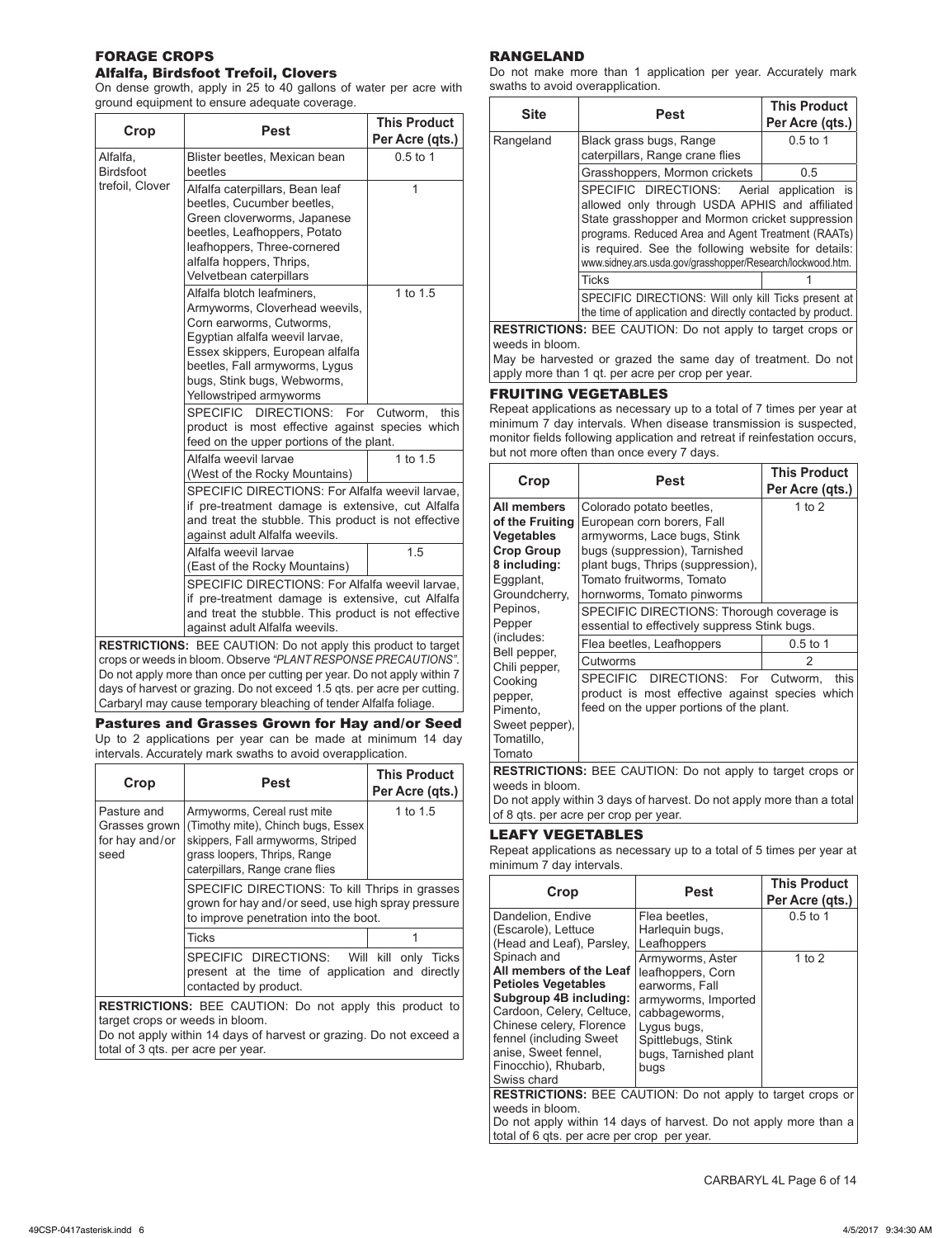## FORAGE CROPS Alfalfa, Birdsfoot Trefoil, Clovers

On dense growth, apply in 25 to 40 gallons of water per acre with ground equipment to ensure adequate coverage.

| Crop                                                                                                                                    | <b>Pest</b>                                                                                                                                                                                                                                                                                          | <b>This Product</b><br>Per Acre (gts.) |
|-----------------------------------------------------------------------------------------------------------------------------------------|------------------------------------------------------------------------------------------------------------------------------------------------------------------------------------------------------------------------------------------------------------------------------------------------------|----------------------------------------|
| Alfalfa,<br><b>Birdsfoot</b>                                                                                                            | Blister beetles, Mexican bean<br>beetles                                                                                                                                                                                                                                                             | $0.5$ to 1                             |
| trefoil, Clover                                                                                                                         | Alfalfa caterpillars, Bean leaf<br>beetles, Cucumber beetles,<br>Green cloverworms, Japanese<br>beetles, Leafhoppers, Potato<br>leafhoppers, Three-cornered<br>alfalfa hoppers, Thrips,<br>Velvetbean caterpillars                                                                                   | 1                                      |
|                                                                                                                                         | Alfalfa blotch leafminers,<br>Armyworms, Cloverhead weevils,<br>Corn earworms, Cutworms,<br>Egyptian alfalfa weevil larvae,<br>Essex skippers, European alfalfa<br>beetles, Fall armyworms, Lygus<br>bugs, Stink bugs, Webworms,<br>Yellowstriped armyworms<br><b>SPECIFIC</b><br>DIRECTIONS:<br>For | 1 to 1.5<br>Cutworm.<br>this           |
|                                                                                                                                         | product is most effective against species which<br>feed on the upper portions of the plant.                                                                                                                                                                                                          |                                        |
|                                                                                                                                         | Alfalfa weevil larvae<br>(West of the Rocky Mountains)                                                                                                                                                                                                                                               | 1 to 1.5                               |
|                                                                                                                                         | SPECIFIC DIRECTIONS: For Alfalfa weevil larvae.<br>if pre-treatment damage is extensive, cut Alfalfa<br>and treat the stubble. This product is not effective<br>against adult Alfalfa weevils.                                                                                                       |                                        |
|                                                                                                                                         | Alfalfa weevil larvae<br>(East of the Rocky Mountains)                                                                                                                                                                                                                                               | 1.5                                    |
|                                                                                                                                         | SPECIFIC DIRECTIONS: For Alfalfa weevil larvae,<br>if pre-treatment damage is extensive, cut Alfalfa<br>and treat the stubble. This product is not effective<br>against adult Alfalfa weevils.                                                                                                       |                                        |
| <b>RESTRICTIONS:</b> BEE CAUTION: Do not apply this product to target<br>crops or weeds in bloom. Observe "PLANT RESPONSE PRECAUTIONS". |                                                                                                                                                                                                                                                                                                      |                                        |

Do not apply more than once per cutting per year. Do not apply within 7 days of harvest or grazing. Do not exceed 1.5 qts. per acre per cutting. Carbaryl may cause temporary bleaching of tender Alfalfa foliage.

Pastures and Grasses Grown for Hay and/or Seed Up to 2 applications per year can be made at minimum 14 day intervals. Accurately mark swaths to avoid overapplication.

| Crop                                                           | Pest                                                                                                                                                                      | <b>This Product</b><br>Per Acre (qts.) |
|----------------------------------------------------------------|---------------------------------------------------------------------------------------------------------------------------------------------------------------------------|----------------------------------------|
| Pasture and<br>Grasses grown<br>for hay and/or<br>seed         | Armyworms, Cereal rust mite<br>(Timothy mite), Chinch bugs, Essex<br>skippers, Fall armyworms, Striped<br>grass loopers, Thrips, Range<br>caterpillars, Range crane flies | 1 to 1.5                               |
|                                                                | SPECIFIC DIRECTIONS: To kill Thrips in grasses<br>grown for hay and/or seed, use high spray pressure<br>to improve penetration into the boot.                             |                                        |
|                                                                | <b>Ticks</b>                                                                                                                                                              |                                        |
|                                                                | SPECIFIC DIRECTIONS: Will kill only Ticks<br>present at the time of application and directly<br>contacted by product.                                                     |                                        |
| <b>RESTRICTIONS:</b> BEE CAUTION: Do not apply this product to |                                                                                                                                                                           |                                        |

target crops or weeds in bloom.

Do not apply within 14 days of harvest or grazing. Do not exceed a total of 3 qts. per acre per year.

# RANGELAND

Do not make more than 1 application per year. Accurately mark swaths to avoid overapplication.

| <b>Site</b>                                                                                                                                                                                                                                                                                                                 | Pest                                                                                                               | <b>This Product</b><br>Per Acre (qts.) |
|-----------------------------------------------------------------------------------------------------------------------------------------------------------------------------------------------------------------------------------------------------------------------------------------------------------------------------|--------------------------------------------------------------------------------------------------------------------|----------------------------------------|
| Rangeland                                                                                                                                                                                                                                                                                                                   | Black grass bugs, Range<br>caterpillars, Range crane flies                                                         | $0.5$ to 1                             |
|                                                                                                                                                                                                                                                                                                                             | Grasshoppers, Mormon crickets                                                                                      | 0.5                                    |
| SPECIFIC DIRECTIONS: Aerial application is<br>allowed only through USDA APHIS and affiliated<br>State grasshopper and Mormon cricket suppression<br>programs. Reduced Area and Agent Treatment (RAATs)<br>is required. See the following website for details:<br>www.sidney.ars.usda.gov/grasshopper/Research/lockwood.htm. |                                                                                                                    |                                        |
|                                                                                                                                                                                                                                                                                                                             | Ticks                                                                                                              |                                        |
|                                                                                                                                                                                                                                                                                                                             | SPECIFIC DIRECTIONS: Will only kill Ticks present at<br>the time of application and directly contacted by product. |                                        |

**RESTRICTIONS:** BEE CAUTION: Do not apply to target crops or weeds in bloom.

May be harvested or grazed the same day of treatment. Do not apply more than 1 qt. per acre per crop per year.

# FRUITING VEGETABLES

Repeat applications as necessary up to a total of 7 times per year at minimum 7 day intervals. When disease transmission is suspected, monitor fields following application and retreat if reinfestation occurs, but not more often than once every 7 days.

| Crop                                                                                                            | Pest                                                                                                                                                                                                                   | <b>This Product</b><br>Per Acre (qts.) |
|-----------------------------------------------------------------------------------------------------------------|------------------------------------------------------------------------------------------------------------------------------------------------------------------------------------------------------------------------|----------------------------------------|
| All members<br>of the Fruiting<br>Vegetables<br><b>Crop Group</b><br>8 including:<br>Eggplant,<br>Groundcherry, | Colorado potato beetles,<br>European corn borers, Fall<br>armyworms, Lace bugs, Stink<br>bugs (suppression), Tarnished<br>plant bugs, Thrips (suppression),<br>Tomato fruitworms, Tomato<br>hornworms. Tomato pinworms | 1 to $2$                               |
| Pepinos,<br>Pepper                                                                                              | SPECIFIC DIRECTIONS: Thorough coverage is<br>essential to effectively suppress Stink bugs.                                                                                                                             |                                        |
| (includes:<br>Bell pepper,                                                                                      | Flea beetles, Leafhoppers                                                                                                                                                                                              | 0.5 to 1                               |
| Chili pepper,                                                                                                   | Cutworms                                                                                                                                                                                                               | 2                                      |
| Cooking<br>pepper,<br>Pimento,<br>Sweet pepper),<br>Tomatillo.<br>Tomato                                        | SPECIFIC DIRECTIONS: For Cutworm,<br>product is most effective against species which<br>feed on the upper portions of the plant.                                                                                       | this                                   |

**RESTRICTIONS:** BEE CAUTION: Do not apply to target crops or weeds in bloom.

Do not apply within 3 days of harvest. Do not apply more than a total of 8 qts. per acre per crop per year.

## LEAFY VEGETABLES

Repeat applications as necessary up to a total of 5 times per year at minimum 7 day intervals.

| Crop                                                             | Pest                  | <b>This Product</b> |
|------------------------------------------------------------------|-----------------------|---------------------|
|                                                                  |                       | Per Acre (qts.)     |
| Dandelion, Endive                                                | Flea beetles,         | $0.5$ to 1          |
| (Escarole), Lettuce                                              | Harleguin bugs,       |                     |
| (Head and Leaf), Parsley,                                        | Leafhoppers           |                     |
| Spinach and                                                      | Armyworms, Aster      | 1 to $2$            |
| All members of the Leaf                                          | leafhoppers, Corn     |                     |
| <b>Petioles Vegetables</b>                                       | earworms, Fall        |                     |
| Subgroup 4B including:                                           | armyworms, Imported   |                     |
| Cardoon, Celery, Celtuce,                                        | cabbageworms,         |                     |
| Chinese celery, Florence                                         | Lygus bugs,           |                     |
| fennel (including Sweet                                          | Spittlebugs, Stink    |                     |
| anise, Sweet fennel,                                             | bugs, Tarnished plant |                     |
| Finocchio), Rhubarb,                                             | bugs                  |                     |
| Swiss chard                                                      |                       |                     |
| RESTRICTIONS: BEE CAUTION: Do not apply to target crops or       |                       |                     |
| weeds in bloom.                                                  |                       |                     |
| Do not apply within 14 days of harvest. Do not apply more than a |                       |                     |
| total of 6 gts. per acre per crop per year.                      |                       |                     |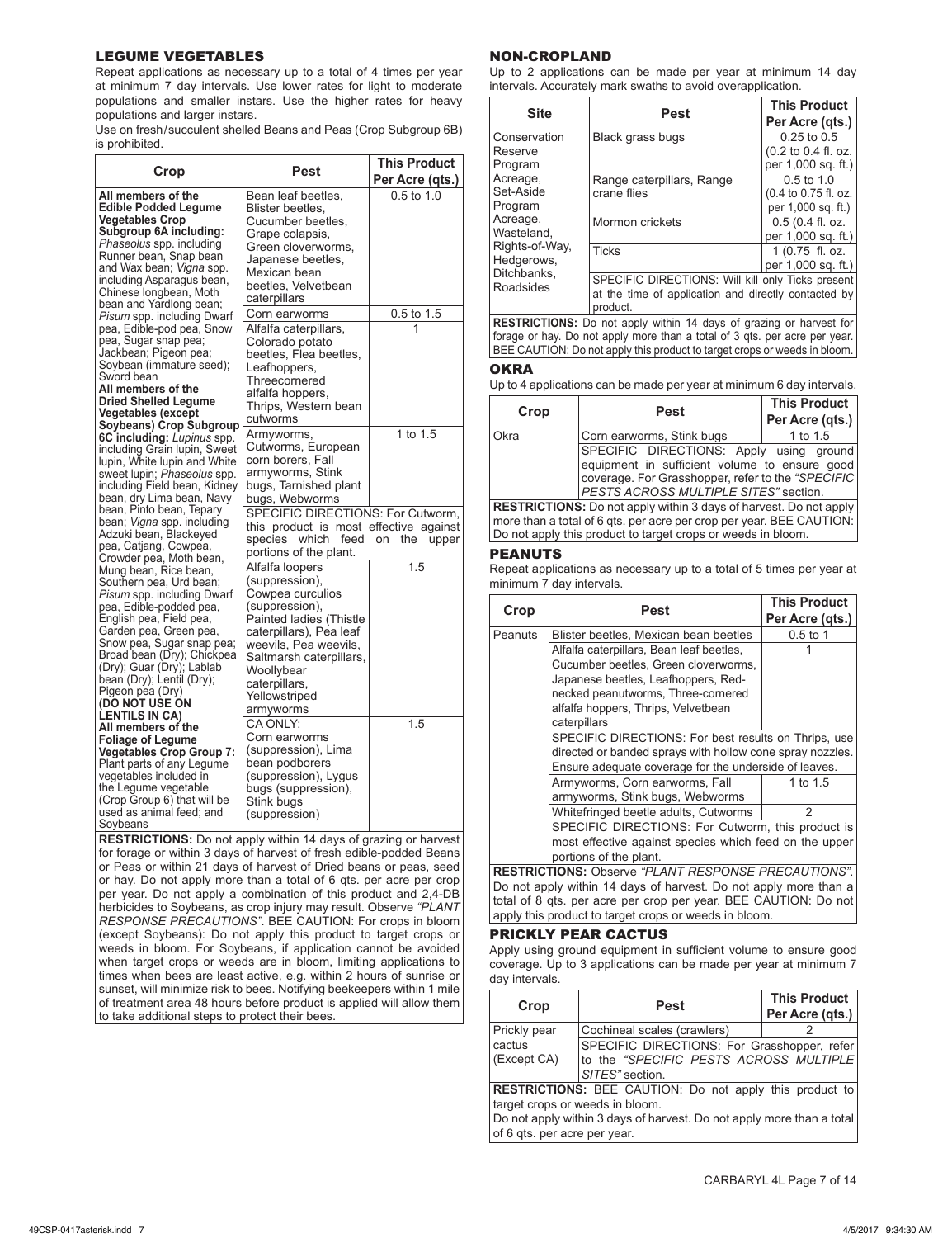## LEGUME VEGETABLES

Repeat applications as necessary up to a total of 4 times per year at minimum 7 day intervals. Use lower rates for light to moderate populations and smaller instars. Use the higher rates for heavy populations and larger instars.

Use on fresh / succulent shelled Beans and Peas (Crop Subgroup 6B) is prohibited.

|                                                                                                                                                                                                                                                                                                                                                                                             | Pest                                                                                                                                                                                                                                           | <b>This Product</b>   |
|---------------------------------------------------------------------------------------------------------------------------------------------------------------------------------------------------------------------------------------------------------------------------------------------------------------------------------------------------------------------------------------------|------------------------------------------------------------------------------------------------------------------------------------------------------------------------------------------------------------------------------------------------|-----------------------|
| Crop                                                                                                                                                                                                                                                                                                                                                                                        |                                                                                                                                                                                                                                                | Per Acre (qts.)       |
| All members of the<br><b>Edible Podded Legume</b><br>Vegetables Crop<br>Subgroup 6A including:<br>Phaseolus spp. including<br>Runner bean, Snap bean<br>and Wax bean; <i>Vigna</i> spp.<br>including Asparagus bean,<br>Chinese longbean, Moth                                                                                                                                              | Bean leaf beetles,<br>Blister beetles,<br>Cucumber beetles,<br>Grape colapsis,<br>Green cloverworms,<br>Japanese beetles.<br>Mexican bean<br>beetles, Velvetbean<br>caterpillars                                                               | $0.5 \text{ to } 1.0$ |
| bean and Yardlong bean;<br><i>Pisum</i> spp. including Dwarf                                                                                                                                                                                                                                                                                                                                | Corn earworms                                                                                                                                                                                                                                  | 0.5 to 1.5            |
| pea, Edible-pod pea, Snow<br>pea, Sugar snap pea;<br>Jackbean; Pigeon pea;<br>Soybean (immature seed);<br>Sword bean<br>All members of the<br>Dried Shelled Legume<br><b>Vegetables (except</b>                                                                                                                                                                                             | Alfalfa caterpillars,<br>Colorado potato<br>beetles, Flea beetles,<br>Leafhoppers,<br>Threecornered<br>alfalfa hoppers,<br>Thrips, Western bean<br>cutworms                                                                                    | 1                     |
| Soybeans) Crop Subgroup<br>6C including: Lupinus spp.<br>including Grain lupin, Sweet<br>lupin, White lupin and White<br>sweet lupin: Phaseolus spp.<br>including Field bean, Kidney<br>bean, dry Lima bean, Navy<br>bean, Pinto bean, Tepary                                                                                                                                               | Armyworms,<br>Cutworms, European<br>corn borers, Fall<br>armyworms, Stink<br>bugs, Tarnished plant<br>bugs, Webworms<br>SPECIFIC DIRECTIONS: For Cutworm,                                                                                      | 1 to 1.5              |
| bean; <i>Vigna</i> spp. including<br>Adzuki bean, Blackeyed<br>pea, Catjang, Cowpea,                                                                                                                                                                                                                                                                                                        | this product is most effective against<br>species<br>which<br>feed<br>portions of the plant.                                                                                                                                                   | on<br>the<br>upper    |
| Crowder pea, Moth bean,<br>Mung bean, Rice bean,<br>Southern pea, Urd bean;<br><i>Pisum</i> spp. including Dwarf<br>pea, Edible-podded pea,<br>English pea, Field pea,<br>Garden pea, Green pea,<br>Snow pea, Sugar snap pea;<br>Broad bean (Dry); Chickpea<br>(Dry); Guar (Dry); Lablab<br>bean (Dry); Lentil (Dry);<br>Pigeon pea (Dry)<br><b>(DO NOT USE ON</b><br><b>LENTILS IN CA)</b> | Alfalfa loopers<br>(suppression),<br>Cowpea curculios<br>(suppression),<br>Painted ladies (Thistle<br>caterpillars), Pea leaf<br>weevils, Pea weevils,<br>Saltmarsh caterpillars,<br>Woollybear<br>caterpillars,<br>Yellowstriped<br>armyworms | 1.5                   |
| All members of the<br><b>Foliage of Legume</b><br>Vegetables Crop Group 7:<br>Plant parts of any Legume<br>vegetables included in<br>the Legume vegetable<br>(Crop Group 6) that will be<br>used as animal feed; and<br>Soybeans                                                                                                                                                            | <b>CA ONLY:</b><br>Corn earworms<br>(suppression), Lima<br>bean podborers<br>(suppression), Lygus<br>bugs (suppression),<br>Stink bugs<br>(suppression)                                                                                        | 1.5                   |

**RESTRICTIONS:** Do not apply within 14 days of grazing or harvest for forage or within 3 days of harvest of fresh edible-podded Beans or Peas or within 21 days of harvest of Dried beans or peas, seed or hay. Do not apply more than a total of 6 qts. per acre per crop per year. Do not apply a combination of this product and 2,4-DB herbicides to Soybeans, as crop injury may result. Observe *"PLANT RESPONSE PRECAUTIONS"*. BEE CAUTION: For crops in bloom (except Soybeans): Do not apply this product to target crops or weeds in bloom. For Soybeans, if application cannot be avoided when target crops or weeds are in bloom, limiting applications to times when bees are least active, e.g. within 2 hours of sunrise or sunset, will minimize risk to bees. Notifying beekeepers within 1 mile of treatment area 48 hours before product is applied will allow them to take additional steps to protect their bees.

## NON-CROPLAND

Up to 2 applications can be made per year at minimum 14 day intervals. Accurately mark swaths to avoid overapplication.

| <b>Site</b>                                                                                                            | Pest                                                                                                                  | <b>This Product</b><br>Per Acre (qts.)                              |
|------------------------------------------------------------------------------------------------------------------------|-----------------------------------------------------------------------------------------------------------------------|---------------------------------------------------------------------|
| Conservation<br>Reserve<br>Program                                                                                     | Black grass bugs                                                                                                      | $0.25$ to $0.5$<br>(0.2 to 0.4 fl. oz.<br>per 1,000 sq. ft.)        |
| Acreage,<br>Set-Aside<br>Program<br>Acreage,<br>Wasteland.<br>Rights-of-Way,<br>Hedgerows,<br>Ditchbanks,<br>Roadsides | Range caterpillars, Range<br>crane flies                                                                              | $0.5 \text{ to } 1.0$<br>(0.4 to 0.75 fl. oz.<br>per 1,000 sq. ft.) |
|                                                                                                                        | Mormon crickets                                                                                                       | $0.5$ (0.4 fl. oz.<br>per 1,000 sq. ft.)                            |
|                                                                                                                        | <b>Ticks</b>                                                                                                          | $1(0.75 \text{ fl. oz.})$<br>per 1,000 sq. ft.)                     |
|                                                                                                                        | SPECIFIC DIRECTIONS: Will kill only Ticks present<br>at the time of application and directly contacted by<br>product. |                                                                     |

**RESTRICTIONS:** Do not apply within 14 days of grazing or harvest for forage or hay. Do not apply more than a total of 3 qts. per acre per year. BEE CAUTION: Do not apply this product to target crops or weeds in bloom.

## **OKRA**

Up to 4 applications can be made per year at minimum 6 day intervals.

| Crop   | <b>Pest</b>                                                                                                                                                                            | <b>This Product</b><br>Per Acre (qts.) |
|--------|----------------------------------------------------------------------------------------------------------------------------------------------------------------------------------------|----------------------------------------|
| l Okra | Corn earworms, Stink bugs                                                                                                                                                              | 1 to 1.5                               |
|        | SPECIFIC DIRECTIONS: Apply using ground<br>equipment in sufficient volume to ensure good<br>coverage. For Grasshopper, refer to the "SPECIFIC<br>PESTS ACROSS MULTIPLE SITES" section. |                                        |

**RESTRICTIONS:** Do not apply within 3 days of harvest. Do not apply more than a total of 6 qts. per acre per crop per year. BEE CAUTION: Do not apply this product to target crops or weeds in bloom.

#### PEANUTS

Repeat applications as necessary up to a total of 5 times per year at minimum 7 day intervals.

| Crop    | Pest                                                      | <b>This Product</b><br>Per Acre (qts.) |
|---------|-----------------------------------------------------------|----------------------------------------|
| Peanuts | Blister beetles, Mexican bean beetles                     | $0.5$ to 1                             |
|         | Alfalfa caterpillars, Bean leaf beetles,                  |                                        |
|         | Cucumber beetles, Green cloverworms,                      |                                        |
|         | Japanese beetles, Leafhoppers, Red-                       |                                        |
|         | necked peanutworms, Three-cornered                        |                                        |
|         | alfalfa hoppers, Thrips, Velvetbean                       |                                        |
|         | caterpillars                                              |                                        |
|         | SPECIFIC DIRECTIONS: For best results on Thrips, use      |                                        |
|         | directed or banded sprays with hollow cone spray nozzles. |                                        |
|         | Ensure adequate coverage for the underside of leaves.     |                                        |
|         | Armyworms, Corn earworms, Fall                            | 1 to 1.5                               |
|         | armyworms, Stink bugs, Webworms                           |                                        |
|         | Whitefringed beetle adults, Cutworms                      | 2                                      |
|         | SPECIFIC DIRECTIONS: For Cutworm, this product is         |                                        |
|         | most effective against species which feed on the upper    |                                        |
|         | portions of the plant.                                    |                                        |
|         | BEATBIATIONS OF "BLANT BEABONSE BREAMITIONA"              |                                        |

**RESTRICTIONS:** Observe *"PLANT RESPONSE PRECAUTIONS"*. Do not apply within 14 days of harvest. Do not apply more than a total of 8 qts. per acre per crop per year. BEE CAUTION: Do not apply this product to target crops or weeds in bloom.

#### PRICKLY PEAR CACTUS

Apply using ground equipment in sufficient volume to ensure good coverage. Up to 3 applications can be made per year at minimum 7 day intervals.

| Crop                                                                | <b>Pest</b>                                                    | <b>This Product</b> |
|---------------------------------------------------------------------|----------------------------------------------------------------|---------------------|
|                                                                     |                                                                | Per Acre (qts.)     |
| Prickly pear                                                        | Cochineal scales (crawlers)                                    |                     |
| cactus                                                              | SPECIFIC DIRECTIONS: For Grasshopper, refer                    |                     |
| (Except CA)                                                         | to the "SPECIFIC PESTS ACROSS MULTIPLE                         |                     |
|                                                                     | SITES" section.                                                |                     |
|                                                                     | <b>RESTRICTIONS:</b> BEE CAUTION: Do not apply this product to |                     |
| target crops or weeds in bloom.                                     |                                                                |                     |
| De not annhumithin 3 days of bonyaet. De not annhumare than a total |                                                                |                     |

Do not apply within 3 days of harvest. Do not apply more than a total of 6 qts. per acre per year.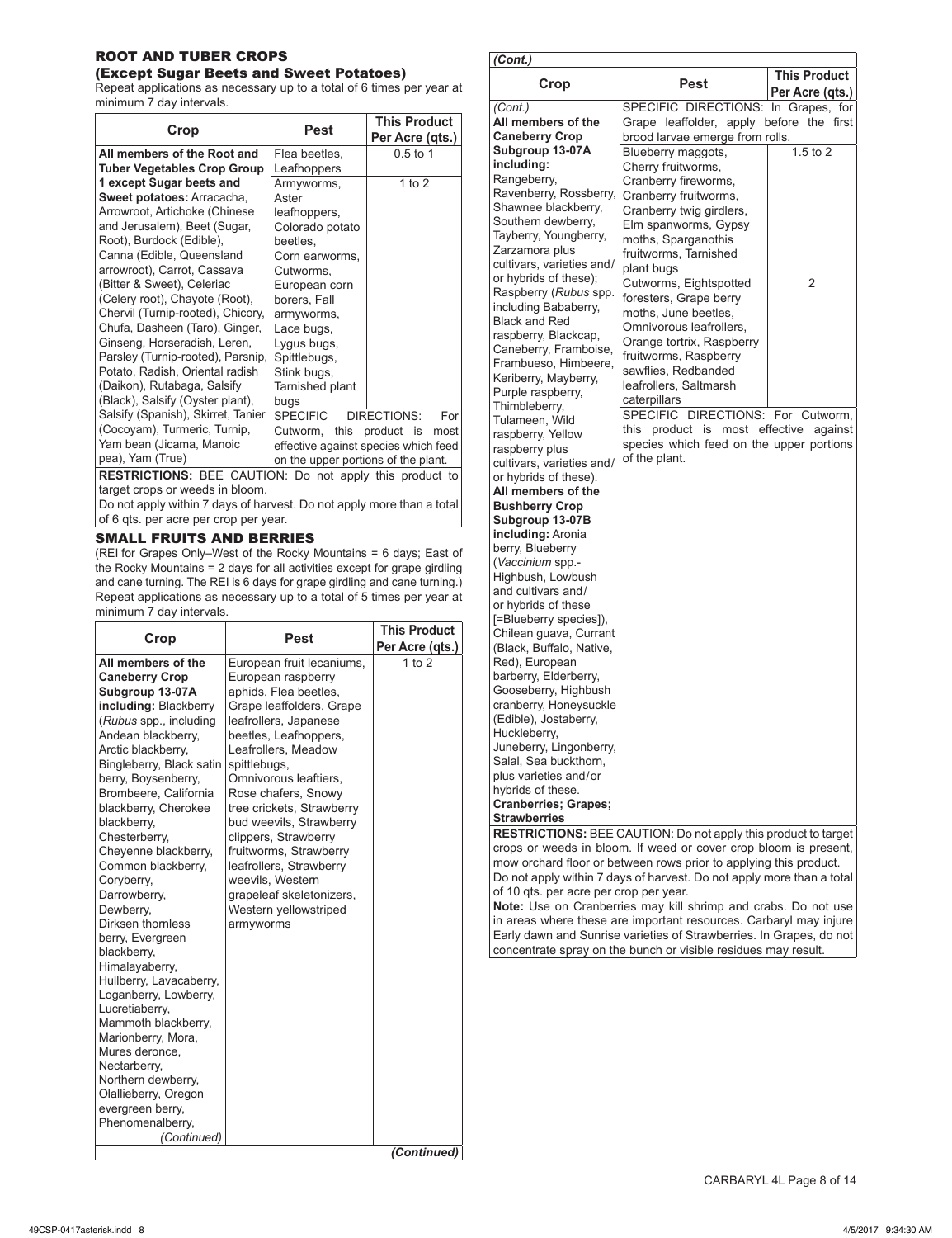# ROOT AND TUBER CROPS

# (Except Sugar Beets and Sweet Potatoes)

Repeat applications as necessary up to a total of 6 times per year at minimum 7 day intervals.

| Crop                                                                                                                                                                                                                                                                                                                                                                                                                                                                                                                              | Pest                                                                                                                                                                                                                                    | <b>This Product</b><br>Per Acre (qts.)                             |
|-----------------------------------------------------------------------------------------------------------------------------------------------------------------------------------------------------------------------------------------------------------------------------------------------------------------------------------------------------------------------------------------------------------------------------------------------------------------------------------------------------------------------------------|-----------------------------------------------------------------------------------------------------------------------------------------------------------------------------------------------------------------------------------------|--------------------------------------------------------------------|
| All members of the Root and<br><b>Tuber Vegetables Crop Group</b>                                                                                                                                                                                                                                                                                                                                                                                                                                                                 | Flea beetles,<br>Leafhoppers                                                                                                                                                                                                            | $0.5$ to 1                                                         |
| 1 except Sugar beets and<br>Sweet potatoes: Arracacha,<br>Arrowroot, Artichoke (Chinese<br>and Jerusalem), Beet (Sugar,<br>Root), Burdock (Edible),<br>Canna (Edible, Queensland<br>arrowroot), Carrot, Cassava<br>(Bitter & Sweet), Celeriac<br>(Celery root), Chayote (Root),<br>Chervil (Turnip-rooted), Chicory,<br>Chufa, Dasheen (Taro), Ginger,<br>Ginseng, Horseradish, Leren,<br>Parsley (Turnip-rooted), Parsnip,<br>Potato, Radish, Oriental radish<br>(Daikon), Rutabaga, Salsify<br>(Black), Salsify (Oyster plant), | Armyworms,<br>Aster<br>leafhoppers,<br>Colorado potato<br>beetles.<br>Corn earworms,<br>Cutworms.<br>European corn<br>borers, Fall<br>armyworms,<br>Lace bugs,<br>Lygus bugs,<br>Spittlebugs,<br>Stink bugs,<br>Tarnished plant<br>bugs | 1 to 2                                                             |
| Salsify (Spanish), Skirret, Tanier<br>(Cocoyam), Turmeric, Turnip,<br>Yam bean (Jicama, Manoic<br>pea), Yam (True)<br><b>RESTRICTIONS:</b> BEE CAUTION: Do not apply this product to                                                                                                                                                                                                                                                                                                                                              | <b>SPECIFIC</b><br>Cutworm, this product is<br>on the upper portions of the plant.                                                                                                                                                      | DIRECTIONS:<br>For<br>most<br>effective against species which feed |

target crops or weeds in bloom. Do not apply within 7 days of harvest. Do not apply more than a total of 6 qts. per acre per crop per year.

# SMALL FRUITS AND BERRIES

(REI for Grapes Only–West of the Rocky Mountains = 6 days; East of the Rocky Mountains = 2 days for all activities except for grape girdling and cane turning. The REI is 6 days for grape girdling and cane turning.) Repeat applications as necessary up to a total of 5 times per year at minimum 7 day intervals.

| All members of the<br>1 to $2$<br>European fruit lecaniums,                                                                                                                                                                                                                                                                                                                                                                                                                                                                                                                                                                                                                                                                                                                                                                                                                                                                                                                                                                                                           | Crop                                                     | <b>Pest</b>        | <b>This Product</b><br>Per Acre (qts.) |
|-----------------------------------------------------------------------------------------------------------------------------------------------------------------------------------------------------------------------------------------------------------------------------------------------------------------------------------------------------------------------------------------------------------------------------------------------------------------------------------------------------------------------------------------------------------------------------------------------------------------------------------------------------------------------------------------------------------------------------------------------------------------------------------------------------------------------------------------------------------------------------------------------------------------------------------------------------------------------------------------------------------------------------------------------------------------------|----------------------------------------------------------|--------------------|----------------------------------------|
| Subgroup 13-07A<br>aphids, Flea beetles,<br>including: Blackberry<br>Grape leaffolders, Grape<br>(Rubus spp., including<br>leafrollers, Japanese<br>Andean blackberry,<br>beetles, Leafhoppers,<br>Leafrollers. Meadow<br>Arctic blackberry,<br>Bingleberry, Black satin<br>spittlebugs,<br>berry, Boysenberry,<br>Omnivorous leaftiers.<br>Brombeere, California<br>Rose chafers, Snowy<br>blackberry, Cherokee<br>tree crickets, Strawberry<br>blackberry,<br>bud weevils, Strawberry<br>clippers, Strawberry<br>Chesterberry,<br>Cheyenne blackberry,<br>fruitworms, Strawberry<br>Common blackberry,<br>leafrollers, Strawberry<br>weevils, Western<br>Coryberry,<br>Darrowberry,<br>grapeleaf skeletonizers,<br>Dewberry,<br>Western yellowstriped<br>Dirksen thornless<br>armyworms<br>berry, Evergreen<br>blackberry,<br>Himalayaberry,<br>Hullberry, Lavacaberry,<br>Loganberry, Lowberry,<br>Lucretiaberry,<br>Mammoth blackberry,<br>Marionberry, Mora,<br>Mures deronce.<br>Nectarberry,<br>Northern dewberry,<br>Olallieberry, Oregon<br>evergreen berry, | <b>Caneberry Crop</b><br>Phenomenalberry,<br>(Continued) | European raspberry |                                        |
|                                                                                                                                                                                                                                                                                                                                                                                                                                                                                                                                                                                                                                                                                                                                                                                                                                                                                                                                                                                                                                                                       |                                                          |                    | (Continued)                            |

| (Cont.)                                         |                                                                       |                     |
|-------------------------------------------------|-----------------------------------------------------------------------|---------------------|
| Crop                                            | Pest                                                                  | <b>This Product</b> |
|                                                 |                                                                       | Per Acre (qts.)     |
| (Cont.)                                         | SPECIFIC DIRECTIONS: In Grapes, for                                   |                     |
| All members of the                              | Grape leaffolder, apply before the first                              |                     |
| <b>Caneberry Crop</b>                           | brood larvae emerge from rolls.                                       |                     |
| Subgroup 13-07A<br>including:                   | Blueberry maggots,                                                    | $1.5$ to $2$        |
| Rangeberry,                                     | Cherry fruitworms,                                                    |                     |
| Ravenberry, Rossberry,                          | Cranberry fireworms,                                                  |                     |
| Shawnee blackberry,                             | Cranberry fruitworms,<br>Cranberry twig girdlers,                     |                     |
| Southern dewberry,                              | Elm spanworms, Gypsy                                                  |                     |
| Tayberry, Youngberry,                           | moths, Sparganothis                                                   |                     |
| Zarzamora plus                                  | fruitworms, Tarnished                                                 |                     |
| cultivars, varieties and/                       | plant bugs                                                            |                     |
| or hybrids of these);                           | Cutworms, Eightspotted                                                | 2                   |
| Raspberry (Rubus spp.                           | foresters, Grape berry                                                |                     |
| including Bababerry,                            | moths, June beetles,                                                  |                     |
| <b>Black and Red</b>                            | Omnivorous leafrollers,                                               |                     |
| raspberry, Blackcap,                            | Orange tortrix, Raspberry                                             |                     |
| Caneberry, Framboise,<br>Frambueso, Himbeere,   | fruitworms, Raspberry                                                 |                     |
| Keriberry, Mayberry,                            | sawflies, Redbanded                                                   |                     |
| Purple raspberry,                               | leafrollers, Saltmarsh                                                |                     |
| Thimbleberry,                                   | caterpillars                                                          |                     |
| Tulameen, Wild                                  | SPECIFIC DIRECTIONS: For Cutworm,                                     |                     |
| raspberry, Yellow                               | this<br>product is<br>most effective                                  | against             |
| raspberry plus                                  | species which feed on the upper portions                              |                     |
| cultivars, varieties and/                       | of the plant.                                                         |                     |
| or hybrids of these).                           |                                                                       |                     |
| All members of the                              |                                                                       |                     |
| <b>Bushberry Crop</b>                           |                                                                       |                     |
| Subgroup 13-07B<br>including: Aronia            |                                                                       |                     |
| berry, Blueberry                                |                                                                       |                     |
| (Vaccinium spp.-                                |                                                                       |                     |
| Highbush, Lowbush                               |                                                                       |                     |
| and cultivars and/                              |                                                                       |                     |
| or hybrids of these                             |                                                                       |                     |
| [=Blueberry species]),                          |                                                                       |                     |
| Chilean guava, Currant                          |                                                                       |                     |
| (Black, Buffalo, Native,                        |                                                                       |                     |
| Red), European                                  |                                                                       |                     |
| barberry, Elderberry,                           |                                                                       |                     |
| Gooseberry, Highbush                            |                                                                       |                     |
| cranberry, Honeysuckle<br>(Edible), Jostaberry, |                                                                       |                     |
| Huckleberry,                                    |                                                                       |                     |
| Juneberry, Lingonberry,                         |                                                                       |                     |
| Salal, Sea buckthorn,                           |                                                                       |                     |
| plus varieties and/or                           |                                                                       |                     |
| hybrids of these.                               |                                                                       |                     |
| <b>Cranberries; Grapes;</b>                     |                                                                       |                     |
| <b>Strawberries</b>                             |                                                                       |                     |
|                                                 | <b>RESTRICTIONS:</b> BEE CAUTION: Do not apply this product to target |                     |
|                                                 | crops or weeds in bloom. If weed or cover crop bloom is present,      |                     |
|                                                 | mow orchard floor or between rows prior to applying this product.     |                     |
| of 10 qts. per acre per crop per year.          | Do not apply within 7 days of harvest. Do not apply more than a total |                     |
|                                                 | Note: Use on Cranberries may kill shrimp and crabs. Do not use        |                     |
|                                                 | in areas where these are important resources. Carbaryl may injure     |                     |
|                                                 | Early dawn and Sunrise varieties of Strawberries. In Grapes, do not   |                     |
|                                                 | concentrate spray on the bunch or visible residues may result.        |                     |
|                                                 |                                                                       |                     |
|                                                 |                                                                       |                     |
|                                                 |                                                                       |                     |
|                                                 |                                                                       |                     |
|                                                 |                                                                       |                     |
|                                                 |                                                                       |                     |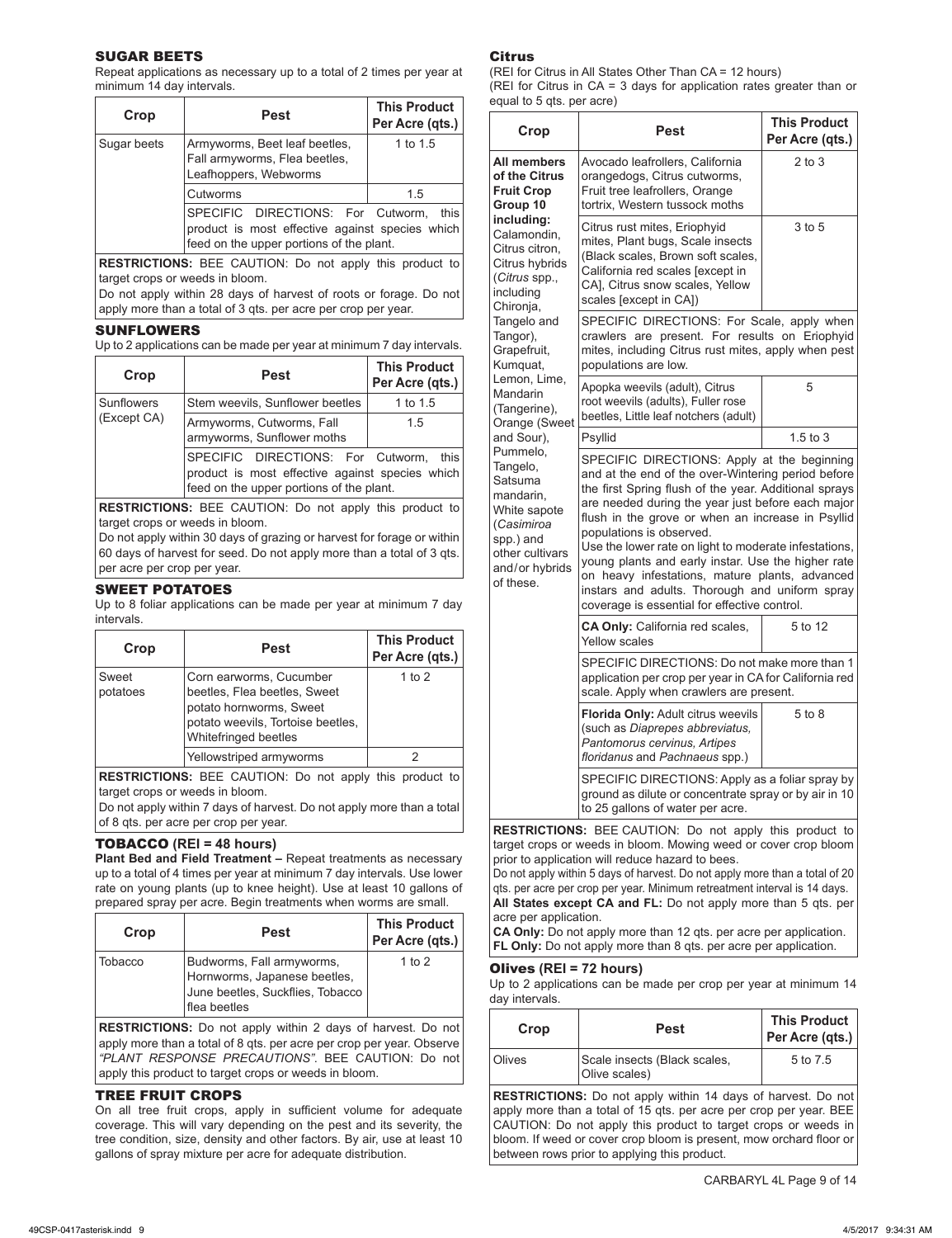## SUGAR BEETS

Repeat applications as necessary up to a total of 2 times per year at minimum 14 day intervals.

| Crop        | Pest                                                                                                                             | <b>This Product</b><br>Per Acre (qts.) |
|-------------|----------------------------------------------------------------------------------------------------------------------------------|----------------------------------------|
| Sugar beets | Armyworms, Beet leaf beetles,<br>Fall armyworms, Flea beetles,<br>Leafhoppers, Webworms                                          | 1 to 1.5                               |
|             | Cutworms                                                                                                                         | 1.5                                    |
|             | SPECIFIC DIRECTIONS: For Cutworm,<br>product is most effective against species which<br>feed on the upper portions of the plant. | this                                   |
|             | <b>DECTDICTIONS:</b> $DFE \sim \text{AllITION}$ Do not apply this product to                                                     |                                        |

**RESTRICTIONS:** BEE CAUTION: Do not apply this product to target crops or weeds in bloom.

Do not apply within 28 days of harvest of roots or forage. Do not apply more than a total of 3 qts. per acre per crop per year.

#### SUNFLOWERS

Up to 2 applications can be made per year at minimum 7 day intervals.

| Crop        | Pest                                                                                                                             | <b>This Product</b><br>Per Acre (qts.) |
|-------------|----------------------------------------------------------------------------------------------------------------------------------|----------------------------------------|
| Sunflowers  | Stem weevils, Sunflower beetles                                                                                                  | 1 to 1.5                               |
| (Except CA) | Armyworms, Cutworms, Fall<br>armyworms, Sunflower moths                                                                          | 1.5                                    |
|             | SPECIFIC DIRECTIONS: For Cutworm,<br>product is most effective against species which<br>feed on the upper portions of the plant. | this                                   |
|             | $\blacksquare$                                                                                                                   |                                        |

**RESTRICTIONS:** BEE CAUTION: Do not apply this product to target crops or weeds in bloom.

Do not apply within 30 days of grazing or harvest for forage or within 60 days of harvest for seed. Do not apply more than a total of 3 qts. per acre per crop per year.

## SWEET POTATOES

Up to 8 foliar applications can be made per year at minimum 7 day intervals.

| Crop              | Pest                                                                                                                                            | <b>This Product</b><br>Per Acre (qts.) |
|-------------------|-------------------------------------------------------------------------------------------------------------------------------------------------|----------------------------------------|
| Sweet<br>potatoes | Corn earworms, Cucumber<br>beetles, Flea beetles, Sweet<br>potato hornworms, Sweet<br>potato weevils, Tortoise beetles,<br>Whitefringed beetles | 1 to $2$                               |
|                   | Yellowstriped armyworms                                                                                                                         |                                        |

**RESTRICTIONS:** BEE CAUTION: Do not apply this product to target crops or weeds in bloom.

Do not apply within 7 days of harvest. Do not apply more than a total of 8 qts. per acre per crop per year.

## TOBACCO **(REI = 48 hours)**

**Plant Bed and Field Treatment –** Repeat treatments as necessary up to a total of 4 times per year at minimum 7 day intervals. Use lower rate on young plants (up to knee height). Use at least 10 gallons of prepared spray per acre. Begin treatments when worms are small.

| Crop           | <b>Pest</b>                                                                                                   | <b>This Product</b><br>Per Acre (qts.) |
|----------------|---------------------------------------------------------------------------------------------------------------|----------------------------------------|
| <b>Tobacco</b> | Budworms, Fall armyworms,<br>Hornworms, Japanese beetles,<br>June beetles, Suckflies, Tobacco<br>flea beetles | 1 to 2                                 |

**RESTRICTIONS:** Do not apply within 2 days of harvest. Do not apply more than a total of 8 qts. per acre per crop per year. Observe *"PLANT RESPONSE PRECAUTIONS"*. BEE CAUTION: Do not apply this product to target crops or weeds in bloom.

## TREE FRUIT CROPS

On all tree fruit crops, apply in sufficient volume for adequate coverage. This will vary depending on the pest and its severity, the tree condition, size, density and other factors. By air, use at least 10 gallons of spray mixture per acre for adequate distribution.

## **Citrus**

(REI for Citrus in All States Other Than CA = 12 hours) (REI for Citrus in CA = 3 days for application rates greater than or equal to 5 qts. per acre)

| Crop                                                                                                                                                                             | Pest                                                                                                                                                                                                                                                                                                                                                                                                                                                                                                                                                                | <b>This Product</b><br>Per Acre (qts.) |
|----------------------------------------------------------------------------------------------------------------------------------------------------------------------------------|---------------------------------------------------------------------------------------------------------------------------------------------------------------------------------------------------------------------------------------------------------------------------------------------------------------------------------------------------------------------------------------------------------------------------------------------------------------------------------------------------------------------------------------------------------------------|----------------------------------------|
| <b>All members</b><br>of the Citrus<br><b>Fruit Crop</b><br>Group 10<br>including:<br>Calamondin.<br>Citrus citron,<br>Citrus hybrids<br>(Citrus spp.,<br>including<br>Chironja, | Avocado leafrollers. California<br>orangedogs, Citrus cutworms,<br>Fruit tree leafrollers, Orange<br>tortrix, Western tussock moths                                                                                                                                                                                                                                                                                                                                                                                                                                 | $2$ to $3$                             |
|                                                                                                                                                                                  | Citrus rust mites, Eriophyid<br>mites, Plant bugs, Scale insects<br>(Black scales, Brown soft scales,<br>California red scales [except in<br>CA]. Citrus snow scales, Yellow<br>scales [except in CA])                                                                                                                                                                                                                                                                                                                                                              | 3 to 5                                 |
| Tangelo and<br>Tangor),<br>Grapefruit,<br>Kumquat,                                                                                                                               | SPECIFIC DIRECTIONS: For Scale, apply when<br>crawlers are present. For results on Eriophyid<br>mites, including Citrus rust mites, apply when pest<br>populations are low.                                                                                                                                                                                                                                                                                                                                                                                         |                                        |
| Lemon, Lime,<br>Mandarin<br>(Tangerine),<br>Orange (Sweet                                                                                                                        | Apopka weevils (adult), Citrus<br>root weevils (adults), Fuller rose<br>beetles, Little leaf notchers (adult)                                                                                                                                                                                                                                                                                                                                                                                                                                                       | 5                                      |
| and Sour),                                                                                                                                                                       | Psyllid                                                                                                                                                                                                                                                                                                                                                                                                                                                                                                                                                             | $1.5$ to $3$                           |
| Pummelo,<br>Tangelo,<br>Satsuma<br>mandarin.<br>White sapote<br>(Casimiroa<br>spp.) and<br>other cultivars<br>and/or hybrids<br>of these.                                        | SPECIFIC DIRECTIONS: Apply at the beginning<br>and at the end of the over-Wintering period before<br>the first Spring flush of the year. Additional sprays<br>are needed during the year just before each major<br>flush in the grove or when an increase in Psyllid<br>populations is observed.<br>Use the lower rate on light to moderate infestations,<br>young plants and early instar. Use the higher rate<br>on heavy infestations, mature plants, advanced<br>instars and adults. Thorough and uniform spray<br>coverage is essential for effective control. |                                        |
|                                                                                                                                                                                  | <b>CA Only:</b> California red scales,<br><b>Yellow scales</b>                                                                                                                                                                                                                                                                                                                                                                                                                                                                                                      | 5 to 12                                |
|                                                                                                                                                                                  | SPECIFIC DIRECTIONS: Do not make more than 1<br>application per crop per year in CA for California red<br>scale. Apply when crawlers are present.                                                                                                                                                                                                                                                                                                                                                                                                                   |                                        |
|                                                                                                                                                                                  | Florida Only: Adult citrus weevils<br>(such as Diaprepes abbreviatus,<br>Pantomorus cervinus, Artipes<br>floridanus and Pachnaeus spp.)                                                                                                                                                                                                                                                                                                                                                                                                                             | 5 to 8                                 |
|                                                                                                                                                                                  | SPECIFIC DIRECTIONS: Apply as a foliar spray by<br>ground as dilute or concentrate spray or by air in 10<br>to 25 gallons of water per acre.                                                                                                                                                                                                                                                                                                                                                                                                                        |                                        |
|                                                                                                                                                                                  | <b>RESTRICTIONS:</b> REE CALITION: Do not apply this product to                                                                                                                                                                                                                                                                                                                                                                                                                                                                                                     |                                        |

**RESTRICTIONS:** BEE CAUTION: Do not apply this product to target crops or weeds in bloom. Mowing weed or cover crop bloom prior to application will reduce hazard to bees.

Do not apply within 5 days of harvest. Do not apply more than a total of 20 qts. per acre per crop per year. Minimum retreatment interval is 14 days. **All States except CA and FL:** Do not apply more than 5 qts. per acre per application.

**CA Only:** Do not apply more than 12 qts. per acre per application. **FL Only:** Do not apply more than 8 qts. per acre per application.

#### Olives **(REI = 72 hours)**

Up to 2 applications can be made per crop per year at minimum 14 day intervals.

| Crop          | <b>Pest</b>                                   | <b>This Product</b><br>Per Acre (qts.) |
|---------------|-----------------------------------------------|----------------------------------------|
| <b>Olives</b> | Scale insects (Black scales,<br>Olive scales) | 5 to 7.5                               |

**RESTRICTIONS:** Do not apply within 14 days of harvest. Do not apply more than a total of 15 qts. per acre per crop per year. BEE CAUTION: Do not apply this product to target crops or weeds in bloom. If weed or cover crop bloom is present, mow orchard floor or between rows prior to applying this product.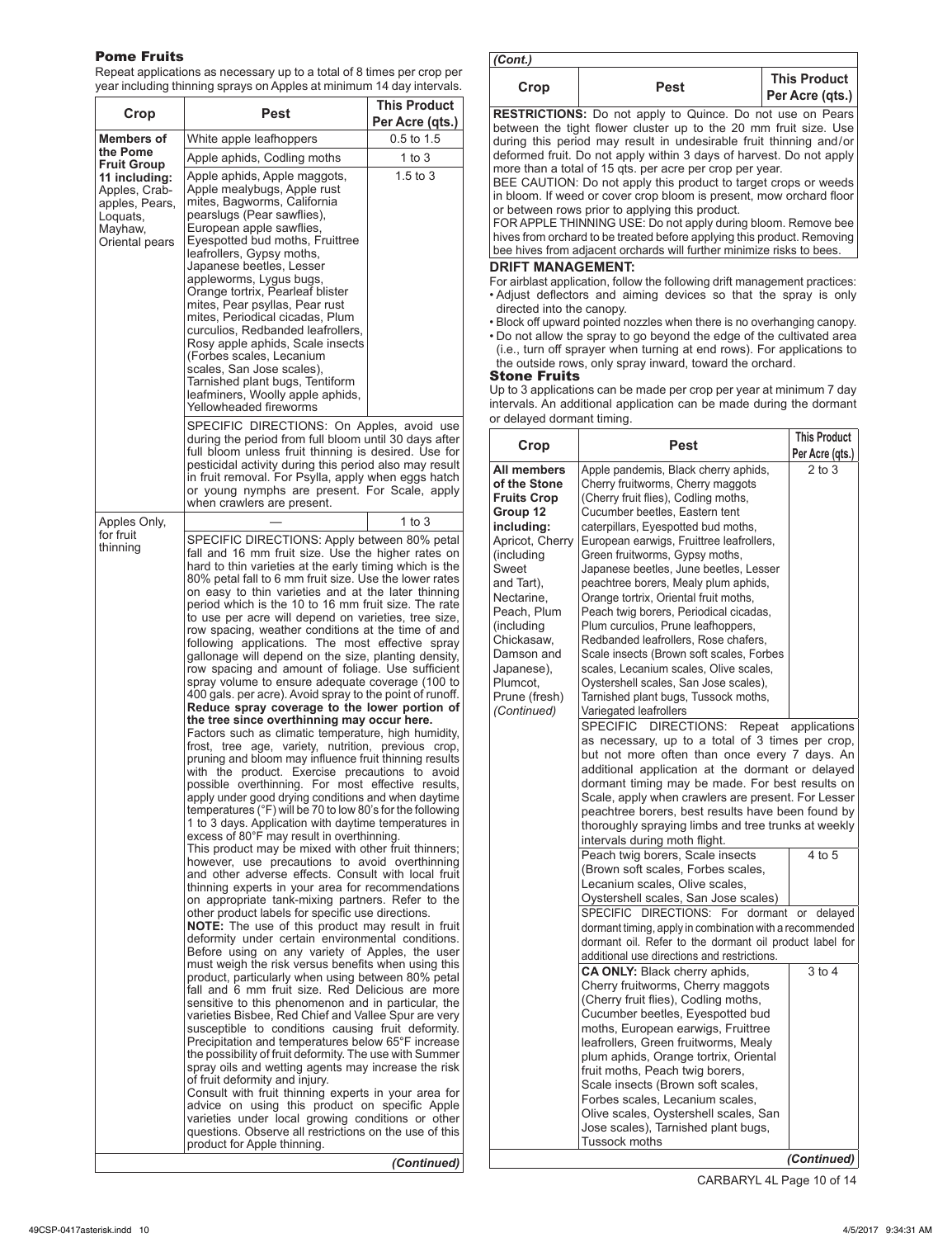## Pome Fruits

Repeat applications as necessary up to a total of 8 times per crop per year including thinning sprays on Apples at minimum 14 day intervals.

| Crop                                                             | Pest                                                                                                          | <b>This Product</b>      |
|------------------------------------------------------------------|---------------------------------------------------------------------------------------------------------------|--------------------------|
| Members of                                                       |                                                                                                               | Per Acre (qts.)          |
| the Pome<br><b>Fruit Group</b><br>11 including:<br>Apples, Crab- | White apple leafhoppers                                                                                       | 0.5 to 1.5               |
|                                                                  | Apple aphids, Codling moths                                                                                   | 1 to $3$<br>$1.5$ to $3$ |
|                                                                  | Apple aphids, Apple maggots,<br>Apple mealybugs, Apple rust                                                   |                          |
| apples, Pears,                                                   | mites, Bagworms, California                                                                                   |                          |
| Loquats,                                                         | pearslugs (Pear sawflies),                                                                                    |                          |
| Mayhaw,<br>Oriental pears                                        | European apple sawflies,<br>Eyespotted bud moths, Fruittree                                                   |                          |
|                                                                  | leafrollers, Gypsy moths,                                                                                     |                          |
|                                                                  | Japanese beetles, Lesser<br>appleworms, Lygus bugs,                                                           |                          |
|                                                                  | Orange tortrix, Pearleaf blister                                                                              |                          |
|                                                                  | mites, Pear psyllas, Pear rust                                                                                |                          |
|                                                                  | mites, Periodical cicadas, Plum<br>curculios, Redbanded leafrollers,                                          |                          |
|                                                                  | Rosy apple aphids, Scale insects                                                                              |                          |
|                                                                  | (Forbes scales, Lecanium<br>scales, San Jose scales),                                                         |                          |
|                                                                  | Tarnished plant bugs, Tentiform                                                                               |                          |
|                                                                  | leafminers, Woolly apple aphids,                                                                              |                          |
|                                                                  | Yellowheaded fireworms                                                                                        |                          |
|                                                                  | SPECIFIC DIRECTIONS: On Apples, avoid use                                                                     |                          |
|                                                                  | during the period from full bloom until 30 days after<br>full bloom unless fruit thinning is desired. Use for |                          |
|                                                                  | pesticidal activity during this period also may result                                                        |                          |
|                                                                  | in fruit removal. For Psylla, apply when eggs hatch<br>or young nymphs are present. For Scale, apply          |                          |
|                                                                  | when crawlers are present.                                                                                    |                          |
| Apples Only,                                                     |                                                                                                               | 1 to $3$                 |
| for fruit<br>thinning                                            | SPECIFIC DIRECTIONS: Apply between 80% petal                                                                  |                          |
|                                                                  | fall and 16 mm fruit size. Use the higher rates on<br>hard to thin varieties at the early timing which is the |                          |
|                                                                  | 80% petal fall to 6 mm fruit size. Use the lower rates                                                        |                          |
|                                                                  | on easy to thin varieties and at the later thinning                                                           |                          |
|                                                                  | period which is the 10 to 16 mm fruit size. The rate<br>to use per acre will depend on varieties, tree size,  |                          |
|                                                                  | row spacing, weather conditions at the time of and                                                            |                          |
|                                                                  | following applications. The most effective spray<br>gallonage will depend on the size, planting density,      |                          |
|                                                                  | row spacing and amount of foliage. Use sufficient                                                             |                          |
|                                                                  | spray volume to ensure adequate coverage (100 to                                                              |                          |
|                                                                  | 400 gals, per acre). Avoid spray to the point of runoff.<br>Reduce spray coverage to the lower portion of     |                          |
|                                                                  | the tree since overthinning may occur here.                                                                   |                          |
|                                                                  | Factors such as climatic temperature, high humidity,<br>frost, tree age, variety, nutrition, previous crop,   |                          |
|                                                                  | pruning and bloom may influence fruit thinning results                                                        |                          |
|                                                                  | with the product. Exercise precautions to avoid                                                               |                          |
|                                                                  | possible overthinning. For most effective results,<br>apply under good drying conditions and when daytime     |                          |
|                                                                  | temperatures (°F) will be 70 to low 80's for the following                                                    |                          |
|                                                                  | 1 to 3 days. Application with daytime temperatures in                                                         |                          |
|                                                                  | excess of 80°F may result in overthinning.<br>This product may be mixed with other fruit thinners;            |                          |
|                                                                  | however, use precautions to avoid overthinning                                                                |                          |
|                                                                  | and other adverse effects. Consult with local fruit<br>thinning experts in your area for recommendations      |                          |
|                                                                  | on appropriate tank-mixing partners. Refer to the                                                             |                          |
|                                                                  | other product labels for specific use directions.                                                             |                          |
|                                                                  | <b>NOTE:</b> The use of this product may result in fruit<br>deformity under certain environmental conditions. |                          |
|                                                                  | Before using on any variety of Apples, the user                                                               |                          |
|                                                                  | must weigh the risk versus benefits when using this                                                           |                          |
|                                                                  | product, particularly when using between 80% petal<br>fall and 6 mm fruit size. Red Delicious are more        |                          |
|                                                                  | sensitive to this phenomenon and in particular, the                                                           |                          |
|                                                                  | varieties Bisbee, Red Chief and Vallee Spur are very<br>susceptible to conditions causing fruit deformity.    |                          |
|                                                                  | Precipitation and temperatures below 65°F increase                                                            |                          |
|                                                                  | the possibility of fruit deformity. The use with Summer                                                       |                          |
|                                                                  | spray oils and wetting agents may increase the risk<br>of fruit deformity and injury.                         |                          |
|                                                                  | Consult with fruit thinning experts in your area for                                                          |                          |
|                                                                  | advice on using this product on specific Apple                                                                |                          |
|                                                                  | varieties under local growing conditions or other<br>questions. Observe all restrictions on the use of this   |                          |
|                                                                  | product for Apple thinning.                                                                                   |                          |
|                                                                  |                                                                                                               | (Continued)              |

| (Cont.) |      |                         |
|---------|------|-------------------------|
| Crop    | Pest | <b>This Product</b>     |
|         |      | $ $ Per Acre (qts.) $ $ |

**RESTRICTIONS:** Do not apply to Quince. Do not use on Pears between the tight flower cluster up to the 20 mm fruit size. Use during this period may result in undesirable fruit thinning and / or deformed fruit. Do not apply within 3 days of harvest. Do not apply more than a total of 15 qts. per acre per crop per year.

BEE CAUTION: Do not apply this product to target crops or weeds in bloom. If weed or cover crop bloom is present, mow orchard floor or between rows prior to applying this product.

FOR APPLE THINNING USE: Do not apply during bloom. Remove bee hives from orchard to be treated before applying this product. Removing bee hives from adjacent orchards will further minimize risks to bees.

## **DRIFT MANAGEMENT:**

For airblast application, follow the following drift management practices: • Adjust deflectors and aiming devices so that the spray is only directed into the canopy.

- Block off upward pointed nozzles when there is no overhanging canopy.
- Do not allow the spray to go beyond the edge of the cultivated area (i.e., turn off sprayer when turning at end rows). For applications to the outside rows, only spray inward, toward the orchard.

#### Stone Fruits

Up to 3 applications can be made per crop per year at minimum 7 day intervals. An additional application can be made during the dormant or delayed dormant timing.

| Crop                                                                                                                                                     | Pest                                                                                                                                                                                                                                                                                                                                                                                                                                                                                     | <b>This Product</b> |
|----------------------------------------------------------------------------------------------------------------------------------------------------------|------------------------------------------------------------------------------------------------------------------------------------------------------------------------------------------------------------------------------------------------------------------------------------------------------------------------------------------------------------------------------------------------------------------------------------------------------------------------------------------|---------------------|
|                                                                                                                                                          |                                                                                                                                                                                                                                                                                                                                                                                                                                                                                          | Per Acre (gts.)     |
| <b>All members</b><br>of the Stone<br><b>Fruits Crop</b><br>Group 12<br>including:<br>Apricot, Cherry<br>(including<br>Sweet<br>and Tart),<br>Nectarine, | Apple pandemis, Black cherry aphids,<br>Cherry fruitworms, Cherry maggots<br>(Cherry fruit flies), Codling moths,<br>Cucumber beetles, Eastern tent<br>caterpillars, Eyespotted bud moths,<br>European earwigs, Fruittree leafrollers,<br>Green fruitworms, Gypsy moths,<br>Japanese beetles, June beetles, Lesser<br>peachtree borers, Mealy plum aphids,<br>Orange tortrix, Oriental fruit moths,                                                                                      | $2$ to $3$          |
| Peach, Plum<br>(including<br>Chickasaw,<br>Damson and<br>Japanese),<br>Plumcot.<br>Prune (fresh)<br>(Continued)                                          | Peach twig borers, Periodical cicadas,<br>Plum curculios, Prune leafhoppers,<br>Redbanded leafrollers, Rose chafers,<br>Scale insects (Brown soft scales, Forbes<br>scales, Lecanium scales, Olive scales,<br>Oystershell scales, San Jose scales),<br>Tarnished plant bugs, Tussock moths,<br>Variegated leafrollers                                                                                                                                                                    |                     |
|                                                                                                                                                          | <b>SPECIFIC</b><br>DIRECTIONS:<br>Repeat<br>as necessary, up to a total of 3 times per crop,<br>but not more often than once every 7 days. An<br>additional application at the dormant or delayed<br>dormant timing may be made. For best results on<br>Scale, apply when crawlers are present. For Lesser<br>peachtree borers, best results have been found by<br>thoroughly spraying limbs and tree trunks at weekly<br>intervals during moth flight.                                  | applications        |
|                                                                                                                                                          | Peach twig borers, Scale insects<br>(Brown soft scales, Forbes scales,<br>Lecanium scales, Olive scales,<br>Oystershell scales, San Jose scales)<br>SPECIFIC DIRECTIONS: For dormant or                                                                                                                                                                                                                                                                                                  | 4 to 5<br>delayed   |
|                                                                                                                                                          | dormant timing, apply in combination with a recommended<br>dormant oil. Refer to the dormant oil product label for<br>additional use directions and restrictions.                                                                                                                                                                                                                                                                                                                        |                     |
|                                                                                                                                                          | <b>CA ONLY:</b> Black cherry aphids,<br>Cherry fruitworms, Cherry maggots<br>(Cherry fruit flies), Codling moths,<br>Cucumber beetles, Eyespotted bud<br>moths, European earwigs, Fruittree<br>leafrollers, Green fruitworms, Mealy<br>plum aphids, Orange tortrix, Oriental<br>fruit moths, Peach twig borers,<br>Scale insects (Brown soft scales,<br>Forbes scales, Lecanium scales,<br>Olive scales, Oystershell scales, San<br>Jose scales), Tarnished plant bugs,<br>Tussock moths | $3$ to $4$          |
|                                                                                                                                                          |                                                                                                                                                                                                                                                                                                                                                                                                                                                                                          | (Continued)         |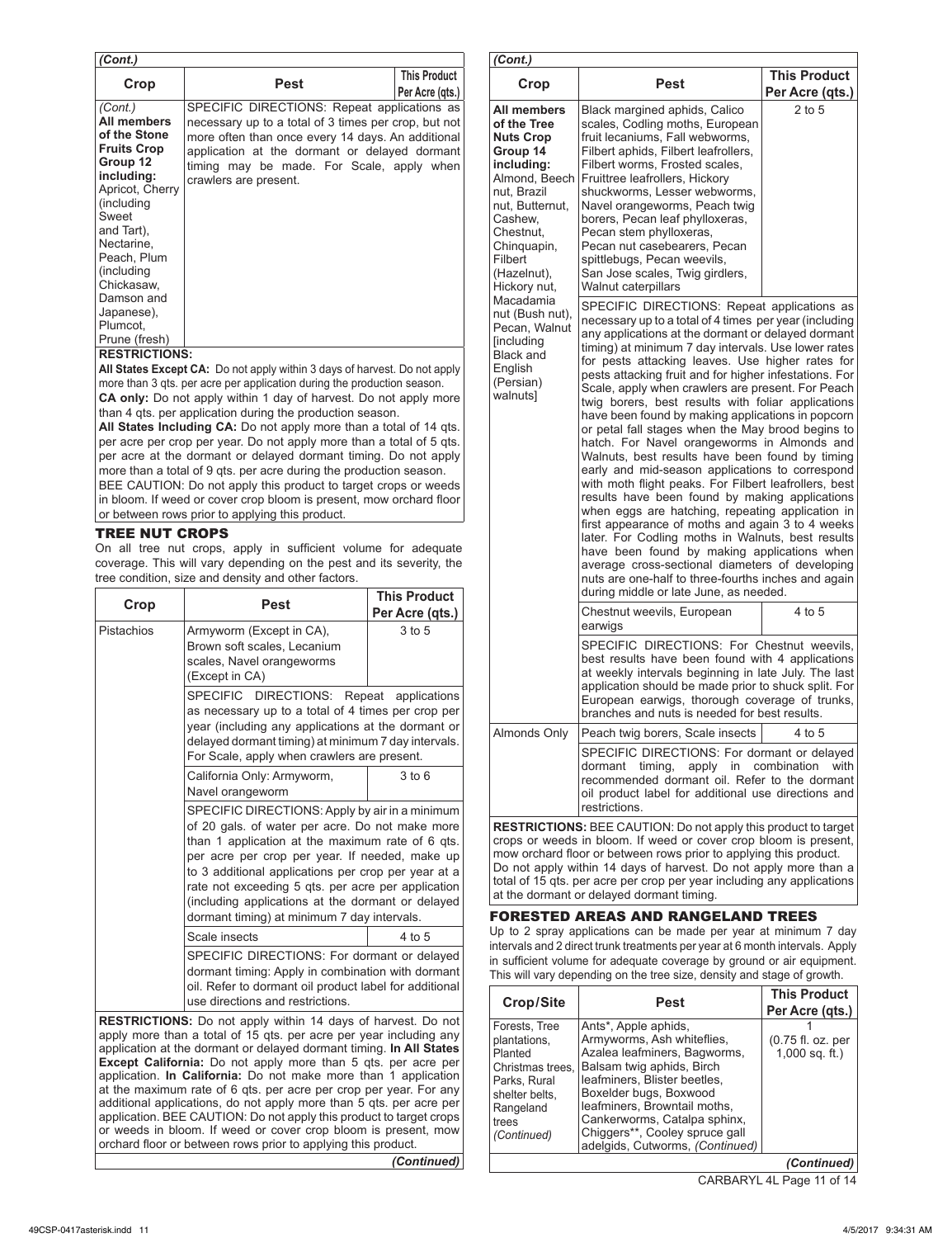| (Cont.)                                                                                                                                                                                                                             |                                                                                                                                                                                                                                                                                                                                                                                                                                                                                                                                                                                                                                                                                                                                                                           |                                        |
|-------------------------------------------------------------------------------------------------------------------------------------------------------------------------------------------------------------------------------------|---------------------------------------------------------------------------------------------------------------------------------------------------------------------------------------------------------------------------------------------------------------------------------------------------------------------------------------------------------------------------------------------------------------------------------------------------------------------------------------------------------------------------------------------------------------------------------------------------------------------------------------------------------------------------------------------------------------------------------------------------------------------------|----------------------------------------|
| Crop                                                                                                                                                                                                                                | <b>Pest</b>                                                                                                                                                                                                                                                                                                                                                                                                                                                                                                                                                                                                                                                                                                                                                               | <b>This Product</b>                    |
| (Cont.)<br>All members<br>of the Stone<br><b>Fruits Crop</b><br>Group 12<br>including:<br>Apricot, Cherry<br>(including<br>Sweet<br>and Tart),<br>Nectarine,<br>Peach, Plum<br>(including<br>Chickasaw,<br>Damson and<br>Japanese), | SPECIFIC DIRECTIONS: Repeat applications as<br>necessary up to a total of 3 times per crop, but not<br>more often than once every 14 days. An additional<br>application at the dormant or delayed dormant<br>timing may be made. For Scale, apply when<br>crawlers are present.                                                                                                                                                                                                                                                                                                                                                                                                                                                                                           | Per Acre (gts.)                        |
| Plumcot.<br>Prune (fresh)                                                                                                                                                                                                           |                                                                                                                                                                                                                                                                                                                                                                                                                                                                                                                                                                                                                                                                                                                                                                           |                                        |
| <b>TREE NUT CROPS</b>                                                                                                                                                                                                               | All States Except CA: Do not apply within 3 days of harvest. Do not apply<br>more than 3 qts. per acre per application during the production season.<br>CA only: Do not apply within 1 day of harvest. Do not apply more<br>than 4 gts, per application during the production season.<br>All States Including CA: Do not apply more than a total of 14 qts.<br>per acre per crop per year. Do not apply more than a total of 5 gts.<br>per acre at the dormant or delayed dormant timing. Do not apply<br>more than a total of 9 gts. per acre during the production season.<br>BEE CAUTION: Do not apply this product to target crops or weeds<br>in bloom. If weed or cover crop bloom is present, mow orchard floor<br>or between rows prior to applying this product. |                                        |
|                                                                                                                                                                                                                                     | On all tree nut crops, apply in sufficient volume for adequate<br>coverage. This will vary depending on the pest and its severity, the<br>tree condition, size and density and other factors.                                                                                                                                                                                                                                                                                                                                                                                                                                                                                                                                                                             |                                        |
| Crop                                                                                                                                                                                                                                | <b>Pest</b>                                                                                                                                                                                                                                                                                                                                                                                                                                                                                                                                                                                                                                                                                                                                                               | <b>This Product</b><br>Per Acre (qts.) |
| Pistachios                                                                                                                                                                                                                          | Armyworm (Except in CA),<br>Brown soft scales, Lecanium<br>scales, Navel orangeworms<br>(Except in CA)                                                                                                                                                                                                                                                                                                                                                                                                                                                                                                                                                                                                                                                                    | $3$ to $5$                             |
|                                                                                                                                                                                                                                     | <b>SPECIFIC</b><br>DIRECTIONS: Repeat<br>as necessary up to a total of 4 times per crop per<br>year (including any applications at the dormant or<br>delayed dormant timing) at minimum 7 day intervals.<br>For Scale, apply when crawlers are present.                                                                                                                                                                                                                                                                                                                                                                                                                                                                                                                   | applications                           |
|                                                                                                                                                                                                                                     | California Only: Armyworm,<br>Navel orangeworm                                                                                                                                                                                                                                                                                                                                                                                                                                                                                                                                                                                                                                                                                                                            | $3$ to $6$                             |
|                                                                                                                                                                                                                                     | SPECIFIC DIRECTIONS: Apply by air in a minimum                                                                                                                                                                                                                                                                                                                                                                                                                                                                                                                                                                                                                                                                                                                            |                                        |

of 20 gals. of water per acre. Do not make more than 1 application at the maximum rate of 6 qts. per acre per crop per year. If needed, make up to 3 additional applications per crop per year at a rate not exceeding 5 qts. per acre per application (including applications at the dormant or delayed dormant timing) at minimum 7 day intervals. Scale insects 4 to 5

SPECIFIC DIRECTIONS: For dormant or delayed dormant timing: Apply in combination with dormant oil. Refer to dormant oil product label for additional use directions and restrictions.

**RESTRICTIONS:** Do not apply within 14 days of harvest. Do not apply more than a total of 15 qts. per acre per year including any application at the dormant or delayed dormant timing. **In All States Except California:** Do not apply more than 5 qts. per acre per application. **In California:** Do not make more than 1 application at the maximum rate of 6 qts. per acre per crop per year. For any additional applications, do not apply more than 5 qts. per acre per application. BEE CAUTION: Do not apply this product to target crops or weeds in bloom. If weed or cover crop bloom is present, mow orchard floor or between rows prior to applying this product.

*(Continued)*

| (Cont.)                                                                                                                                                                                                      |                                                                                                                                                                                                                                                                                                                                                                                                                                                                                                                                                                                                                                                                                                                                                                                                                                                                                                                                                                                                                                                                                                                                                                                       |                                        |
|--------------------------------------------------------------------------------------------------------------------------------------------------------------------------------------------------------------|---------------------------------------------------------------------------------------------------------------------------------------------------------------------------------------------------------------------------------------------------------------------------------------------------------------------------------------------------------------------------------------------------------------------------------------------------------------------------------------------------------------------------------------------------------------------------------------------------------------------------------------------------------------------------------------------------------------------------------------------------------------------------------------------------------------------------------------------------------------------------------------------------------------------------------------------------------------------------------------------------------------------------------------------------------------------------------------------------------------------------------------------------------------------------------------|----------------------------------------|
| Crop                                                                                                                                                                                                         | Pest                                                                                                                                                                                                                                                                                                                                                                                                                                                                                                                                                                                                                                                                                                                                                                                                                                                                                                                                                                                                                                                                                                                                                                                  | <b>This Product</b><br>Per Acre (qts.) |
| All members<br>of the Tree<br><b>Nuts Crop</b><br>Group 14<br>including:<br>Almond, Beech<br>nut, Brazil<br>nut, Butternut,<br>Cashew,<br>Chestnut.<br>Chinguapin,<br>Filbert<br>(Hazelnut),<br>Hickory nut, | Black margined aphids, Calico<br>scales, Codling moths, European<br>fruit lecaniums, Fall webworms,<br>Filbert aphids, Filbert leafrollers,<br>Filbert worms, Frosted scales,<br>Fruittree leafrollers, Hickory<br>shuckworms, Lesser webworms,<br>Navel orangeworms, Peach twig<br>borers, Pecan leaf phylloxeras,<br>Pecan stem phylloxeras,<br>Pecan nut casebearers, Pecan<br>spittlebugs, Pecan weevils,<br>San Jose scales, Twig girdlers,<br>Walnut caterpillars                                                                                                                                                                                                                                                                                                                                                                                                                                                                                                                                                                                                                                                                                                               | $2$ to $5$                             |
| Macadamia<br>nut (Bush nut),<br>Pecan, Walnut<br><i><b>[including</b></i><br><b>Black and</b><br>English<br>(Persian)<br>walnuts1                                                                            | SPECIFIC DIRECTIONS: Repeat applications as<br>necessary up to a total of 4 times per year (including<br>any applications at the dormant or delayed dormant<br>timing) at minimum 7 day intervals. Use lower rates<br>for pests attacking leaves. Use higher rates for<br>pests attacking fruit and for higher infestations. For<br>Scale, apply when crawlers are present. For Peach<br>twig borers, best results with foliar applications<br>have been found by making applications in popcorn<br>or petal fall stages when the May brood begins to<br>hatch. For Navel orangeworms in Almonds and<br>Walnuts, best results have been found by timing<br>early and mid-season applications to correspond<br>with moth flight peaks. For Filbert leafrollers, best<br>results have been found by making applications<br>when eggs are hatching, repeating application in<br>first appearance of moths and again 3 to 4 weeks<br>later. For Codling moths in Walnuts, best results<br>have been found by making applications when<br>average cross-sectional diameters of developing<br>nuts are one-half to three-fourths inches and again<br>during middle or late June, as needed. |                                        |
|                                                                                                                                                                                                              | Chestnut weevils, European<br>earwigs                                                                                                                                                                                                                                                                                                                                                                                                                                                                                                                                                                                                                                                                                                                                                                                                                                                                                                                                                                                                                                                                                                                                                 | 4 to 5                                 |
|                                                                                                                                                                                                              | SPECIFIC DIRECTIONS: For Chestnut weevils.<br>best results have been found with 4 applications<br>at weekly intervals beginning in late July. The last<br>application should be made prior to shuck split. For<br>European earwigs, thorough coverage of trunks,<br>branches and nuts is needed for best results.                                                                                                                                                                                                                                                                                                                                                                                                                                                                                                                                                                                                                                                                                                                                                                                                                                                                     |                                        |
| Almonds Only                                                                                                                                                                                                 | Peach twig borers, Scale insects                                                                                                                                                                                                                                                                                                                                                                                                                                                                                                                                                                                                                                                                                                                                                                                                                                                                                                                                                                                                                                                                                                                                                      | 4 to 5                                 |
|                                                                                                                                                                                                              | SPECIFIC DIRECTIONS: For dormant or delayed<br>timing,<br>apply in<br>dormant<br>recommended dormant oil. Refer to the dormant<br>oil product label for additional use directions and<br>restrictions.                                                                                                                                                                                                                                                                                                                                                                                                                                                                                                                                                                                                                                                                                                                                                                                                                                                                                                                                                                                | combination<br>with                    |
|                                                                                                                                                                                                              | <b>RESTRICTIONS:</b> BEE CAUTION: Do not apply this product to target<br>crops or weeds in bloom. If weed or cover crop bloom is present.                                                                                                                                                                                                                                                                                                                                                                                                                                                                                                                                                                                                                                                                                                                                                                                                                                                                                                                                                                                                                                             |                                        |

crops or weeds in bloom. If weed or cover crop bloom is present, mow orchard floor or between rows prior to applying this product. Do not apply within 14 days of harvest. Do not apply more than a total of 15 qts. per acre per crop per year including any applications at the dormant or delayed dormant timing.

#### FORESTED AREAS AND RANGELAND TREES

Up to 2 spray applications can be made per year at minimum 7 day intervals and 2 direct trunk treatments per year at 6 month intervals. Apply in sufficient volume for adequate coverage by ground or air equipment. This will vary depending on the tree size, density and stage of growth.

| Crop/Site                                                                                                                           | Pest                                                                                                                                                                                                                                                                                                           | <b>This Product</b><br>Per Acre (qts.) |
|-------------------------------------------------------------------------------------------------------------------------------------|----------------------------------------------------------------------------------------------------------------------------------------------------------------------------------------------------------------------------------------------------------------------------------------------------------------|----------------------------------------|
| Forests, Tree<br>plantations,<br>Planted<br>Christmas trees.<br>Parks, Rural<br>shelter belts.<br>Rangeland<br>trees<br>(Continued) | Ants*, Apple aphids,<br>Armyworms, Ash whiteflies,<br>Azalea leafminers, Bagworms,<br>Balsam twig aphids, Birch<br>leafminers, Blister beetles,<br>Boxelder bugs, Boxwood<br>leafminers, Browntail moths,<br>Cankerworms, Catalpa sphinx,<br>Chiggers**, Cooley spruce gall<br>adelgids, Cutworms, (Continued) | (0.75 fl. oz. per<br>$1,000$ sq. ft.)  |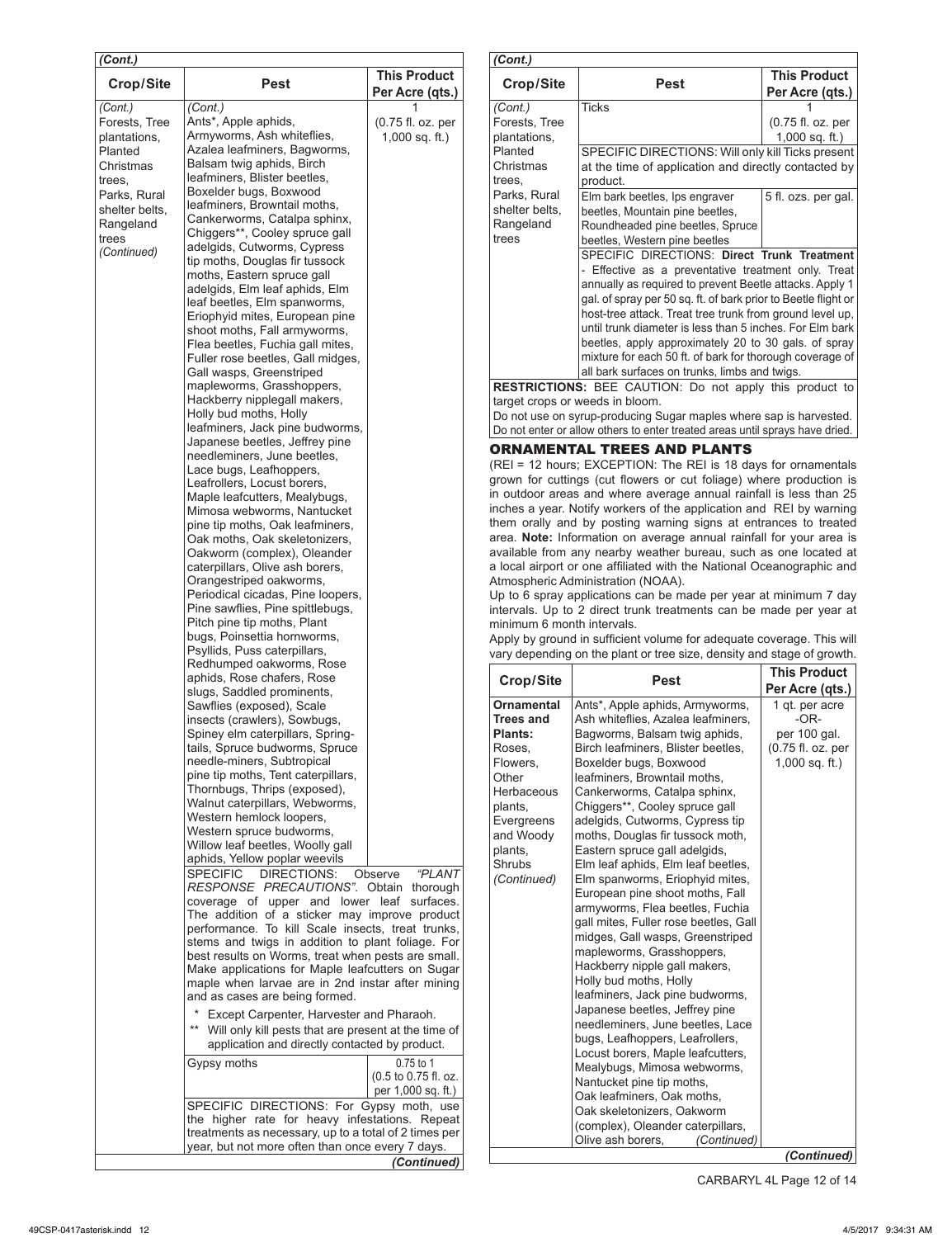| (Cont.)                        |                                                                                                    | <b>This Product</b>               |
|--------------------------------|----------------------------------------------------------------------------------------------------|-----------------------------------|
| Crop/Site                      | Pest                                                                                               | Per Acre (qts.)                   |
| (Cont.)                        | (Cont.)                                                                                            |                                   |
| Forests, Tree                  | Ants*, Apple aphids,<br>Armyworms, Ash whiteflies,                                                 | (0.75 fl. oz. per                 |
| plantations,                   | Azalea leafminers, Bagworms,                                                                       | $1,000$ sq. ft.)                  |
| Planted                        | Balsam twig aphids, Birch                                                                          |                                   |
| Christmas                      | leafminers, Blister beetles,                                                                       |                                   |
| trees.                         | Boxelder bugs, Boxwood                                                                             |                                   |
| Parks, Rural<br>shelter belts. | leafminers, Browntail moths,                                                                       |                                   |
| Rangeland                      | Cankerworms, Catalpa sphinx,                                                                       |                                   |
| trees                          | Chiggers**, Cooley spruce gall                                                                     |                                   |
| (Continued)                    | adelgids, Cutworms, Cypress                                                                        |                                   |
|                                | tip moths, Douglas fir tussock                                                                     |                                   |
|                                | moths, Eastern spruce gall                                                                         |                                   |
|                                | adelgids, Elm leaf aphids, Elm                                                                     |                                   |
|                                | leaf beetles, Elm spanworms,                                                                       |                                   |
|                                | Eriophyid mites, European pine                                                                     |                                   |
|                                | shoot moths, Fall armyworms,                                                                       |                                   |
|                                | Flea beetles, Fuchia gall mites,                                                                   |                                   |
|                                | Fuller rose beetles, Gall midges,                                                                  |                                   |
|                                | Gall wasps, Greenstriped<br>mapleworms, Grasshoppers,                                              |                                   |
|                                | Hackberry nipplegall makers,                                                                       |                                   |
|                                | Holly bud moths, Holly                                                                             |                                   |
|                                | leafminers, Jack pine budworms,                                                                    |                                   |
|                                | Japanese beetles, Jeffrey pine                                                                     |                                   |
|                                | needleminers, June beetles,                                                                        |                                   |
|                                | Lace bugs, Leafhoppers,                                                                            |                                   |
|                                | Leafrollers, Locust borers,                                                                        |                                   |
|                                | Maple leafcutters, Mealybugs,                                                                      |                                   |
|                                | Mimosa webworms, Nantucket                                                                         |                                   |
|                                | pine tip moths, Oak leafminers,                                                                    |                                   |
|                                | Oak moths, Oak skeletonizers,<br>Oakworm (complex), Oleander                                       |                                   |
|                                | caterpillars, Olive ash borers,                                                                    |                                   |
|                                | Orangestriped oakworms,                                                                            |                                   |
|                                | Periodical cicadas, Pine loopers,                                                                  |                                   |
|                                | Pine sawflies, Pine spittlebugs,                                                                   |                                   |
|                                | Pitch pine tip moths, Plant                                                                        |                                   |
|                                | bugs, Poinsettia hornworms,                                                                        |                                   |
|                                | Psyllids, Puss caterpillars,                                                                       |                                   |
|                                | Redhumped oakworms, Rose                                                                           |                                   |
|                                | aphids, Rose chafers, Rose                                                                         |                                   |
|                                | slugs, Saddled prominents,                                                                         |                                   |
|                                | Sawflies (exposed), Scale                                                                          |                                   |
|                                | insects (crawlers), Sowbugs,                                                                       |                                   |
|                                | Spiney elm caterpillars, Spring-<br>tails, Spruce budworms, Spruce                                 |                                   |
|                                | needle-miners, Subtropical                                                                         |                                   |
|                                | pine tip moths, Tent caterpillars,                                                                 |                                   |
|                                | Thornbugs, Thrips (exposed),                                                                       |                                   |
|                                | Walnut caterpillars, Webworms,                                                                     |                                   |
|                                | Western hemlock loopers,                                                                           |                                   |
|                                | Western spruce budworms,                                                                           |                                   |
|                                | Willow leaf beetles, Woolly gall                                                                   |                                   |
|                                | aphids, Yellow poplar weevils                                                                      |                                   |
|                                | <b>SPECIFIC</b><br>DIRECTIONS:                                                                     | "PLANT<br>Observe                 |
|                                | RESPONSE PRECAUTIONS". Obtain thorough                                                             |                                   |
|                                | coverage of upper and<br>lower                                                                     | surfaces.<br>leaf                 |
|                                | The addition of a sticker may improve product<br>performance. To kill Scale insects, treat trunks, |                                   |
|                                | stems and twigs in addition to plant foliage. For                                                  |                                   |
|                                | best results on Worms, treat when pests are small.                                                 |                                   |
|                                | Make applications for Maple leafcutters on Sugar                                                   |                                   |
|                                | maple when larvae are in 2nd instar after mining                                                   |                                   |
|                                | and as cases are being formed.                                                                     |                                   |
|                                | Except Carpenter, Harvester and Pharaoh.                                                           |                                   |
|                                | $***$<br>Will only kill pests that are present at the time of                                      |                                   |
|                                | application and directly contacted by product.                                                     |                                   |
|                                |                                                                                                    |                                   |
|                                | Gypsy moths                                                                                        | 0.75 to 1<br>(0.5 to 0.75 fl. oz. |
|                                |                                                                                                    | per 1,000 sq. ft.)                |
|                                | SPECIFIC DIRECTIONS: For Gypsy moth, use                                                           |                                   |
|                                | the higher rate for heavy infestations. Repeat                                                     |                                   |
|                                | treatments as necessary, up to a total of 2 times per                                              |                                   |
|                                | year, but not more often than once every 7 days.                                                   |                                   |

| munue <sup>.</sup> |  |
|--------------------|--|

| Crop/Site<br>(Cont.)<br>Forests, Tree | Pest                                                                                                                                      |                                                                                                 |
|---------------------------------------|-------------------------------------------------------------------------------------------------------------------------------------------|-------------------------------------------------------------------------------------------------|
|                                       |                                                                                                                                           | Per Acre (qts.)                                                                                 |
|                                       | Ticks                                                                                                                                     |                                                                                                 |
| plantations,                          |                                                                                                                                           | (0.75 fl. oz. per<br>$1,000$ sq. ft.)                                                           |
| Planted                               | SPECIFIC DIRECTIONS: Will only kill Ticks present                                                                                         |                                                                                                 |
| Christmas                             | at the time of application and directly contacted by                                                                                      |                                                                                                 |
| trees.                                | product.                                                                                                                                  |                                                                                                 |
| Parks, Rural                          | Elm bark beetles, Ips engraver                                                                                                            | 5 fl. ozs. per gal.                                                                             |
| shelter belts,                        | beetles, Mountain pine beetles,                                                                                                           |                                                                                                 |
| Rangeland<br>trees                    | Roundheaded pine beetles, Spruce<br>beetles, Western pine beetles                                                                         |                                                                                                 |
|                                       | SPECIFIC DIRECTIONS: Direct Trunk Treatment                                                                                               |                                                                                                 |
|                                       | - Effective as a preventative treatment only. Treat                                                                                       |                                                                                                 |
|                                       | annually as required to prevent Beetle attacks. Apply 1                                                                                   |                                                                                                 |
|                                       | gal. of spray per 50 sq. ft. of bark prior to Beetle flight or                                                                            |                                                                                                 |
|                                       | host-tree attack. Treat tree trunk from ground level up,                                                                                  |                                                                                                 |
|                                       | until trunk diameter is less than 5 inches. For Elm bark                                                                                  |                                                                                                 |
|                                       | beetles, apply approximately 20 to 30 gals. of spray<br>mixture for each 50 ft. of bark for thorough coverage of                          |                                                                                                 |
|                                       | all bark surfaces on trunks, limbs and twigs.                                                                                             |                                                                                                 |
|                                       | RESTRICTIONS: BEE CAUTION: Do not apply this product to                                                                                   |                                                                                                 |
|                                       | target crops or weeds in bloom.                                                                                                           |                                                                                                 |
|                                       | Do not use on syrup-producing Sugar maples where sap is harvested.                                                                        |                                                                                                 |
|                                       | Do not enter or allow others to enter treated areas until sprays have dried.                                                              |                                                                                                 |
|                                       | <b>ORNAMENTAL TREES AND PLANTS</b>                                                                                                        |                                                                                                 |
|                                       | (REI = 12 hours; EXCEPTION: The REI is 18 days for ornamentals<br>grown for cuttings (cut flowers or cut foliage) where production is     |                                                                                                 |
|                                       | in outdoor areas and where average annual rainfall is less than 25                                                                        |                                                                                                 |
|                                       | inches a year. Notify workers of the application and REI by warning                                                                       |                                                                                                 |
|                                       | them orally and by posting warning signs at entrances to treated                                                                          |                                                                                                 |
|                                       | area. Note: Information on average annual rainfall for your area is                                                                       |                                                                                                 |
|                                       | available from any nearby weather bureau, such as one located at<br>a local airport or one affiliated with the National Oceanographic and |                                                                                                 |
|                                       | Atmospheric Administration (NOAA).                                                                                                        |                                                                                                 |
|                                       | Up to 6 spray applications can be made per year at minimum 7 day                                                                          |                                                                                                 |
|                                       |                                                                                                                                           |                                                                                                 |
|                                       | intervals. Up to 2 direct trunk treatments can be made per year at                                                                        |                                                                                                 |
| minimum 6 month intervals.            |                                                                                                                                           |                                                                                                 |
|                                       | Apply by ground in sufficient volume for adequate coverage. This will                                                                     |                                                                                                 |
|                                       | vary depending on the plant or tree size, density and stage of growth.                                                                    |                                                                                                 |
| Crop/Site                             | Pest                                                                                                                                      |                                                                                                 |
|                                       |                                                                                                                                           |                                                                                                 |
| Ornamental<br><b>Trees and</b>        | Ants*, Apple aphids, Armyworms,                                                                                                           | $-OR-$                                                                                          |
| Plants:                               | Ash whiteflies, Azalea leafminers,<br>Bagworms, Balsam twig aphids,                                                                       | per 100 gal.                                                                                    |
| Roses,                                | Birch leafminers, Blister beetles                                                                                                         |                                                                                                 |
| Flowers,                              | Boxelder bugs, Boxwood                                                                                                                    |                                                                                                 |
| Other                                 | leafminers, Browntail moths,                                                                                                              |                                                                                                 |
| Herbaceous                            | Cankerworms, Catalpa sphinx,                                                                                                              |                                                                                                 |
| plants,                               | Chiggers**, Cooley spruce gall                                                                                                            |                                                                                                 |
| Evergreens                            | adelgids, Cutworms, Cypress tip                                                                                                           |                                                                                                 |
| and Woody                             | moths, Douglas fir tussock moth,                                                                                                          |                                                                                                 |
| plants,<br>Shrubs                     | Eastern spruce gall adelgids,                                                                                                             |                                                                                                 |
| (Continued)                           | Elm leaf aphids, Elm leaf beetles,<br>Elm spanworms, Eriophyid mites,                                                                     |                                                                                                 |
|                                       | European pine shoot moths, Fall                                                                                                           |                                                                                                 |
|                                       | armyworms, Flea beetles, Fuchia                                                                                                           |                                                                                                 |
|                                       | gall mites, Fuller rose beetles, Gall                                                                                                     |                                                                                                 |
|                                       | midges, Gall wasps, Greenstriped                                                                                                          |                                                                                                 |
|                                       | mapleworms, Grasshoppers,                                                                                                                 |                                                                                                 |
|                                       | Hackberry nipple gall makers,                                                                                                             |                                                                                                 |
|                                       | Holly bud moths, Holly                                                                                                                    |                                                                                                 |
|                                       | leafminers, Jack pine budworms,<br>Japanese beetles, Jeffrey pine                                                                         |                                                                                                 |
|                                       | needleminers, June beetles, Lace                                                                                                          |                                                                                                 |
|                                       | bugs, Leafhoppers, Leafrollers,                                                                                                           |                                                                                                 |
|                                       | Locust borers, Maple leafcutters,                                                                                                         |                                                                                                 |
|                                       | Mealybugs, Mimosa webworms,                                                                                                               |                                                                                                 |
|                                       | Nantucket pine tip moths,                                                                                                                 |                                                                                                 |
|                                       | Oak leafminers, Oak moths,                                                                                                                |                                                                                                 |
|                                       | Oak skeletonizers, Oakworm                                                                                                                | <b>This Product</b><br>Per Acre (qts.)<br>1 qt. per acre<br>(0.75 fl. oz. per<br>1,000 sq. ft.) |
|                                       | (complex), Oleander caterpillars,<br>Olive ash borers,<br>(Continued)                                                                     |                                                                                                 |

*(Cont.)*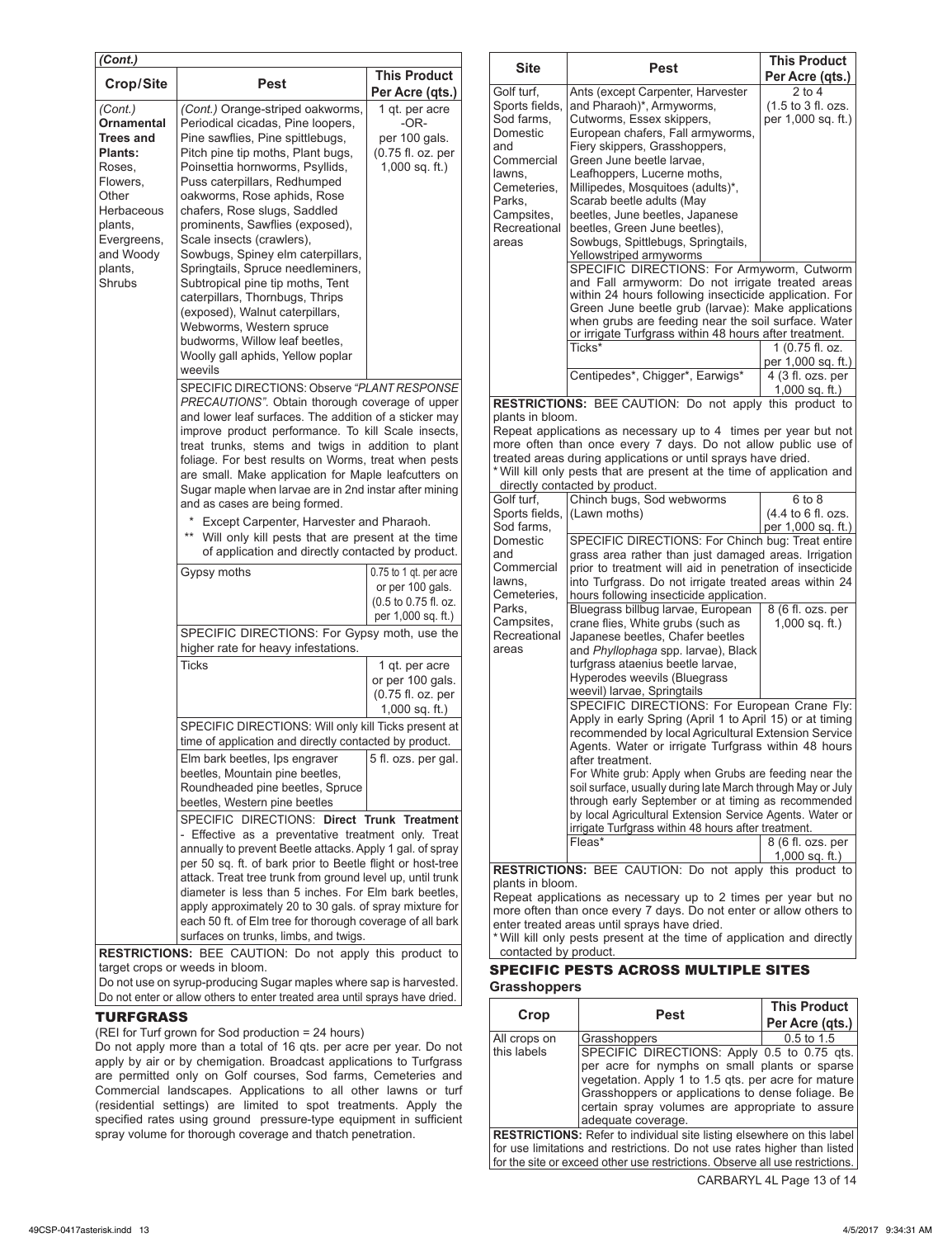| (Cont.)                                                                                                                                                              |                                                                                                                                                                                                                                                                                                                                                                                                                                                                                                                                                                                                                                                    |                                                                                          |
|----------------------------------------------------------------------------------------------------------------------------------------------------------------------|----------------------------------------------------------------------------------------------------------------------------------------------------------------------------------------------------------------------------------------------------------------------------------------------------------------------------------------------------------------------------------------------------------------------------------------------------------------------------------------------------------------------------------------------------------------------------------------------------------------------------------------------------|------------------------------------------------------------------------------------------|
| Crop/Site                                                                                                                                                            | Pest                                                                                                                                                                                                                                                                                                                                                                                                                                                                                                                                                                                                                                               | <b>This Product</b><br>Per Acre (qts.)                                                   |
| (Cont.)<br><b>Ornamental</b><br><b>Trees and</b><br>Plants:<br>Roses,<br>Flowers,<br>Other<br>Herbaceous<br>plants.<br>Evergreens,<br>and Woody<br>plants,<br>Shrubs | (Cont.) Orange-striped oakworms,<br>Periodical cicadas, Pine loopers,<br>Pine sawflies, Pine spittlebugs,<br>Pitch pine tip moths, Plant bugs,<br>Poinsettia hornworms, Psyllids,<br>Puss caterpillars, Redhumped<br>oakworms, Rose aphids, Rose<br>chafers, Rose slugs, Saddled<br>prominents, Sawflies (exposed),<br>Scale insects (crawlers),<br>Sowbugs, Spiney elm caterpillars,<br>Springtails, Spruce needleminers,<br>Subtropical pine tip moths, Tent<br>caterpillars, Thornbugs, Thrips<br>(exposed), Walnut caterpillars,<br>Webworms, Western spruce<br>budworms, Willow leaf beetles,<br>Woolly gall aphids, Yellow poplar<br>weevils | 1 gt. per acre<br>$-OR-$<br>per 100 gals.<br>(0.75 fl. oz. per<br>$1,000$ sq. ft.)       |
|                                                                                                                                                                      | SPECIFIC DIRECTIONS: Observe "PLANT RESPONSE<br>PRECAUTIONS". Obtain thorough coverage of upper<br>and lower leaf surfaces. The addition of a sticker may<br>improve product performance. To kill Scale insects,<br>treat trunks, stems and twigs in addition to plant<br>foliage. For best results on Worms, treat when pests<br>are small. Make application for Maple leafcutters on<br>Sugar maple when larvae are in 2nd instar after mining<br>and as cases are being formed.<br>Except Carpenter, Harvester and Pharaoh.<br>$***$<br>Will only kill pests that are present at the time<br>of application and directly contacted by product.  |                                                                                          |
|                                                                                                                                                                      | Gypsy moths                                                                                                                                                                                                                                                                                                                                                                                                                                                                                                                                                                                                                                        | 0.75 to 1 gt. per acre<br>or per 100 gals.<br>(0.5 to 0.75 fl. oz.<br>per 1,000 sq. ft.) |
|                                                                                                                                                                      | SPECIFIC DIRECTIONS: For Gypsy moth, use the<br>higher rate for heavy infestations.                                                                                                                                                                                                                                                                                                                                                                                                                                                                                                                                                                |                                                                                          |
|                                                                                                                                                                      | <b>Ticks</b>                                                                                                                                                                                                                                                                                                                                                                                                                                                                                                                                                                                                                                       | 1 gt. per acre<br>or per 100 gals.<br>(0.75 fl. oz. per<br>$1,000$ sq. ft.)              |
|                                                                                                                                                                      | SPECIFIC DIRECTIONS: Will only kill Ticks present at<br>time of application and directly contacted by product.<br>Elm bark beetles, Ips engraver<br>beetles, Mountain pine beetles,<br>Roundheaded pine beetles, Spruce<br>beetles, Western pine beetles<br>SPECIFIC DIRECTIONS: Direct Trunk Treatment                                                                                                                                                                                                                                                                                                                                            | 5 fl. ozs. per gal.                                                                      |
|                                                                                                                                                                      | - Effective as a preventative treatment only. Treat<br>annually to prevent Beetle attacks. Apply 1 gal. of spray<br>per 50 sq. ft. of bark prior to Beetle flight or host-tree<br>attack. Treat tree trunk from ground level up, until trunk<br>diameter is less than 5 inches. For Elm bark beetles,<br>apply approximately 20 to 30 gals. of spray mixture for<br>each 50 ft. of Elm tree for thorough coverage of all bark<br>surfaces on trunks, limbs, and twigs.<br>RESTRICTIONS: BEE CAUTION: Do not apply this product to<br>target crops or weeds in bloom.                                                                               |                                                                                          |

Do not use on syrup-producing Sugar maples where sap is harvested. Do not enter or allow others to enter treated area until sprays have dried.

## TURFGRASS

(REI for Turf grown for Sod production = 24 hours)

Do not apply more than a total of 16 qts. per acre per year. Do not apply by air or by chemigation. Broadcast applications to Turfgrass are permitted only on Golf courses, Sod farms, Cemeteries and Commercial landscapes. Applications to all other lawns or turf (residential settings) are limited to spot treatments. Apply the specified rates using ground pressure-type equipment in sufficient spray volume for thorough coverage and thatch penetration.

| Site                       | Pest                                                                                                               | <b>This Product</b>                 |
|----------------------------|--------------------------------------------------------------------------------------------------------------------|-------------------------------------|
|                            |                                                                                                                    | Per Acre (gts.)                     |
| Golf turf,                 | Ants (except Carpenter, Harvester                                                                                  | $2$ to 4                            |
| Sports fields,             | and Pharaoh)*, Armyworms,                                                                                          | (1.5 to 3 fl. ozs.                  |
| Sod farms,                 | Cutworms, Essex skippers,                                                                                          | per 1,000 sq. ft.)                  |
| Domestic                   | European chafers, Fall armyworms,                                                                                  |                                     |
| and                        | Fiery skippers, Grasshoppers,                                                                                      |                                     |
| Commercial                 | Green June beetle larvae,                                                                                          |                                     |
| lawns,                     | Leafhoppers, Lucerne moths,                                                                                        |                                     |
| Cemeteries,                | Millipedes, Mosquitoes (adults)*,                                                                                  |                                     |
| Parks,                     | Scarab beetle adults (May<br>beetles, June beetles, Japanese                                                       |                                     |
| Campsites,<br>Recreational | beetles, Green June beetles),                                                                                      |                                     |
| areas                      | Sowbugs, Spittlebugs, Springtails,                                                                                 |                                     |
|                            | Yellowstriped armyworms                                                                                            |                                     |
|                            | SPECIFIC DIRECTIONS: For Armyworm, Cutworm                                                                         |                                     |
|                            | and Fall armyworm: Do not irrigate treated areas                                                                   |                                     |
|                            | within 24 hours following insecticide application. For                                                             |                                     |
|                            | Green June beetle grub (larvae): Make applications                                                                 |                                     |
|                            | when grubs are feeding near the soil surface. Water                                                                |                                     |
|                            | or irrigate Turfgrass within 48 hours after treatment.                                                             |                                     |
|                            | Ticks*                                                                                                             | 1 (0.75 fl. oz.                     |
|                            |                                                                                                                    | per 1,000 sq. ft.)                  |
|                            | Centipedes*, Chigger*, Earwigs*                                                                                    | 4 (3 fl. ozs. per<br>1,000 sq. ft.) |
|                            | <b>RESTRICTIONS:</b> BEE CAUTION: Do not apply this product to                                                     |                                     |
| plants in bloom.           |                                                                                                                    |                                     |
|                            | Repeat applications as necessary up to 4 times per year but not                                                    |                                     |
|                            | more often than once every 7 days. Do not allow public use of                                                      |                                     |
|                            | treated areas during applications or until sprays have dried.                                                      |                                     |
|                            | * Will kill only pests that are present at the time of application and                                             |                                     |
|                            | directly contacted by product.                                                                                     |                                     |
| Golf turf.                 | Chinch bugs, Sod webworms                                                                                          | 6 to 8                              |
| Sports fields,             | (Lawn moths)                                                                                                       | (4.4 to 6 fl. ozs.                  |
| Sod farms,                 |                                                                                                                    | per 1,000 sq. ft.)                  |
| Domestic<br>and            | SPECIFIC DIRECTIONS: For Chinch bug: Treat entire                                                                  |                                     |
| Commercial                 | grass area rather than just damaged areas. Irrigation<br>prior to treatment will aid in penetration of insecticide |                                     |
| lawns,                     | into Turfgrass. Do not irrigate treated areas within 24                                                            |                                     |
| Cemeteries,                | hours following insecticide application.                                                                           |                                     |
| Parks,                     | Bluegrass billbug larvae, European                                                                                 | 8 (6 fl. ozs. per                   |
| Campsites,                 | crane flies, White grubs (such as                                                                                  | 1,000 sq. ft.)                      |
| Recreational               | Japanese beetles, Chafer beetles                                                                                   |                                     |
| areas                      | and Phyllophaga spp. larvae), Black                                                                                |                                     |
|                            | turfgrass ataenius beetle larvae,                                                                                  |                                     |
|                            | Hyperodes weevils (Bluegrass                                                                                       |                                     |
|                            | weevil) larvae, Springtails                                                                                        |                                     |
|                            | SPECIFIC DIRECTIONS: For European Crane Fly:                                                                       |                                     |
|                            | Apply in early Spring (April 1 to April 15) or at timing                                                           |                                     |
|                            | recommended by local Agricultural Extension Service                                                                |                                     |
|                            | Agents. Water or irrigate Turfgrass within 48 hours                                                                |                                     |
|                            | after treatment.                                                                                                   |                                     |
|                            | For White grub: Apply when Grubs are feeding near the                                                              |                                     |
|                            | soil surface, usually during late March through May or July                                                        |                                     |
|                            | through early September or at timing as recommended                                                                |                                     |
|                            | by local Agricultural Extension Service Agents. Water or                                                           |                                     |
|                            | irrigate Turfgrass within 48 hours after treatment.                                                                |                                     |
|                            | Fleas*                                                                                                             | 8 (6 fl. ozs. per                   |
|                            | RESTRICTIONS: BEE CAUTION: Do not apply this product to                                                            | 1,000 sq. ft.)                      |
| plants in bloom.           |                                                                                                                    |                                     |
|                            | Repeat applications as necessary up to 2 times per year but no                                                     |                                     |
|                            |                                                                                                                    |                                     |

more often than once every 7 days. Do not enter or allow others to enter treated areas until sprays have dried.

\* Will kill only pests present at the time of application and directly contacted by product.

## SPECIFIC PESTS ACROSS MULTIPLE SITES **Grasshoppers**

|              | <b>Pest</b>                                                                                          | <b>This Product</b> |
|--------------|------------------------------------------------------------------------------------------------------|---------------------|
| Crop         |                                                                                                      | Per Acre (qts.)     |
| All crops on | Grasshoppers                                                                                         | $0.5$ to $1.5$      |
| this labels  | SPECIFIC DIRECTIONS: Apply 0.5 to 0.75 qts.                                                          |                     |
|              | per acre for nymphs on small plants or sparse<br>vegetation. Apply 1 to 1.5 qts. per acre for mature |                     |
|              | Grasshoppers or applications to dense foliage. Be                                                    |                     |
|              | certain spray volumes are appropriate to assure                                                      |                     |
|              | adequate coverage.                                                                                   |                     |
|              | A. □ -first to the distribution of the contract of the contract of the first of                      |                     |

**RESTRICTIONS:** Refer to individual site listing elsewhere on this label for use limitations and restrictions. Do not use rates higher than listed for the site or exceed other use restrictions. Observe all use restrictions.